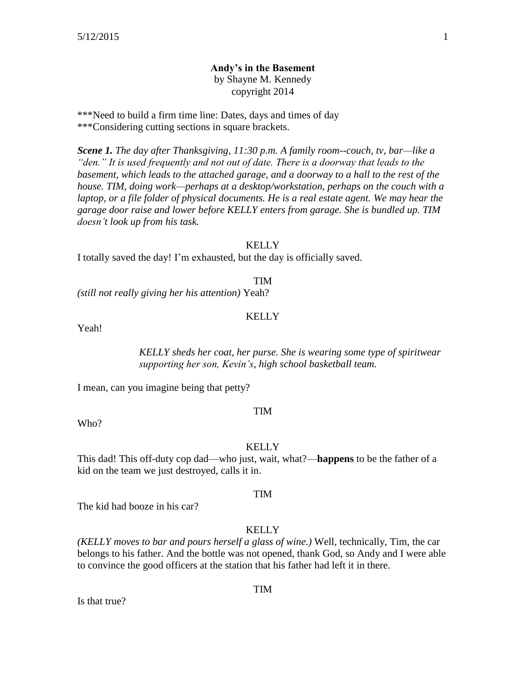## **Andy's in the Basement**

by Shayne M. Kennedy copyright 2014

\*\*\*Need to build a firm time line: Dates, days and times of day \*\*\*Considering cutting sections in square brackets.

*Scene 1. The day after Thanksgiving, 11:30 p.m. A family room--couch, tv, bar—like a "den." It is used frequently and not out of date. There is a doorway that leads to the*  basement, which leads to the attached garage, and a doorway to a hall to the rest of the *house. TIM, doing work—perhaps at a desktop/workstation, perhaps on the couch with a laptop, or a file folder of physical documents. He is a real estate agent. We may hear the garage door raise and lower before KELLY enters from garage. She is bundled up. TIM doesn't look up from his task.*

#### KELLY

I totally saved the day! I'm exhausted, but the day is officially saved.

TIM

*(still not really giving her his attention)* Yeah?

#### **KELLY**

Yeah!

*KELLY sheds her coat, her purse. She is wearing some type of spiritwear supporting her son, Kevin's, high school basketball team.*

I mean, can you imagine being that petty?

#### TIM

Who?

#### **KELLY**

This dad! This off-duty cop dad—who just, wait, what?—**happens** to be the father of a kid on the team we just destroyed, calls it in.

#### TIM

The kid had booze in his car?

#### **KELLY**

*(KELLY moves to bar and pours herself a glass of wine.)* Well, technically, Tim, the car belongs to his father. And the bottle was not opened, thank God, so Andy and I were able to convince the good officers at the station that his father had left it in there.

Is that true?

#### TIM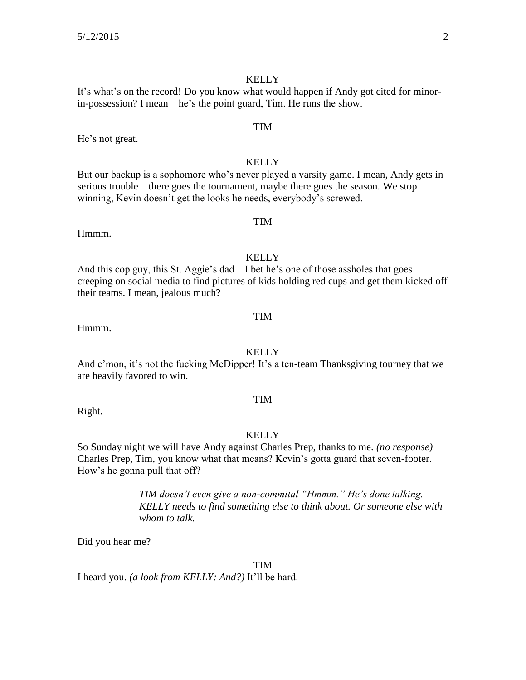It's what's on the record! Do you know what would happen if Andy got cited for minorin-possession? I mean—he's the point guard, Tim. He runs the show.

He's not great.

#### **KELLY**

But our backup is a sophomore who's never played a varsity game. I mean, Andy gets in serious trouble—there goes the tournament, maybe there goes the season. We stop winning, Kevin doesn't get the looks he needs, everybody's screwed.

Hmmm.

**KELLY** And this cop guy, this St. Aggie's dad—I bet he's one of those assholes that goes creeping on social media to find pictures of kids holding red cups and get them kicked off their teams. I mean, jealous much?

Hmmm.

#### KELLY

And c'mon, it's not the fucking McDipper! It's a ten-team Thanksgiving tourney that we are heavily favored to win.

#### TIM

Right.

#### **KELLY**

So Sunday night we will have Andy against Charles Prep, thanks to me. *(no response)*  Charles Prep, Tim, you know what that means? Kevin's gotta guard that seven-footer. How's he gonna pull that off?

> *TIM doesn't even give a non-commital "Hmmm." He's done talking. KELLY needs to find something else to think about. Or someone else with whom to talk.*

Did you hear me?

#### TIM

I heard you. *(a look from KELLY: And?)* It'll be hard.

# TIM

#### TIM

# TIM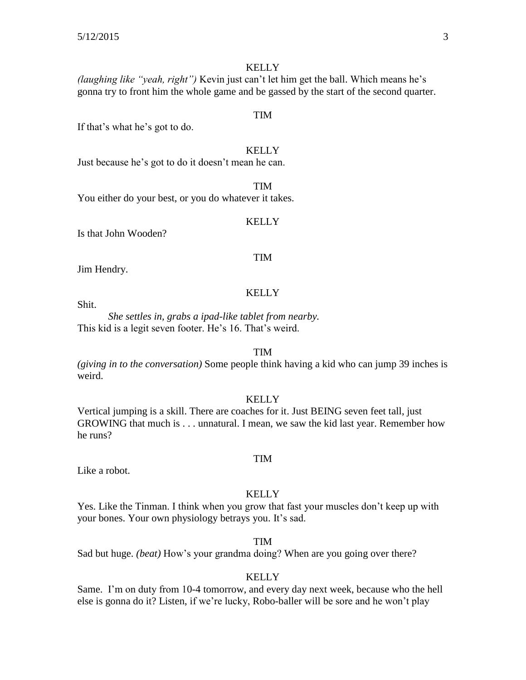*(laughing like "yeah, right")* Kevin just can't let him get the ball. Which means he's gonna try to front him the whole game and be gassed by the start of the second quarter.

If that's what he's got to do.

#### **KELLY**

TIM

TIM

Just because he's got to do it doesn't mean he can.

You either do your best, or you do whatever it takes.

#### KELLY

Is that John Wooden?

#### TIM

**KELLY** 

Jim Hendry.

Shit.

*She settles in, grabs a ipad-like tablet from nearby.*  This kid is a legit seven footer. He's 16. That's weird.

#### TIM

*(giving in to the conversation)* Some people think having a kid who can jump 39 inches is weird.

KELLY

Vertical jumping is a skill. There are coaches for it. Just BEING seven feet tall, just GROWING that much is . . . unnatural. I mean, we saw the kid last year. Remember how he runs?

Like a robot.

#### **KELLY**

TIM

Yes. Like the Tinman. I think when you grow that fast your muscles don't keep up with your bones. Your own physiology betrays you. It's sad.

TIM

Sad but huge. *(beat)* How's your grandma doing? When are you going over there?

#### KELLY

Same. I'm on duty from 10-4 tomorrow, and every day next week, because who the hell else is gonna do it? Listen, if we're lucky, Robo-baller will be sore and he won't play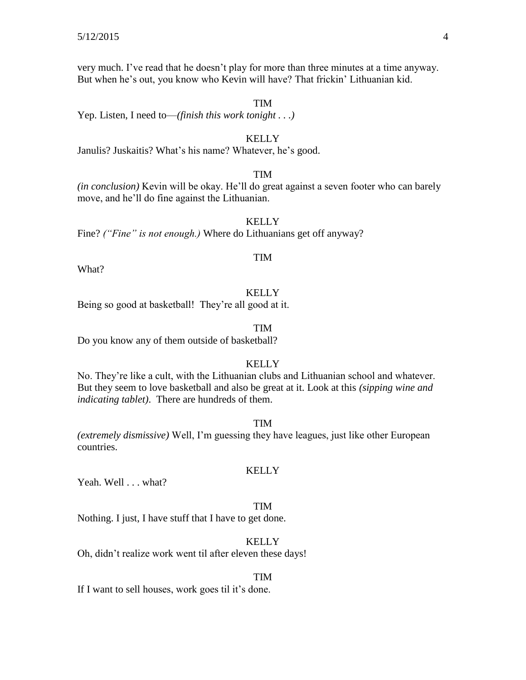very much. I've read that he doesn't play for more than three minutes at a time anyway. But when he's out, you know who Kevin will have? That frickin' Lithuanian kid.

TIM

Yep. Listen, I need to—*(finish this work tonight . . .)*

### KELLY Janulis? Juskaitis? What's his name? Whatever, he's good.

#### TIM

*(in conclusion)* Kevin will be okay. He'll do great against a seven footer who can barely move, and he'll do fine against the Lithuanian.

**KELLY** Fine? *("Fine" is not enough.)* Where do Lithuanians get off anyway?

#### TIM

What?

#### **KELLY**

Being so good at basketball! They're all good at it.

#### TIM

Do you know any of them outside of basketball?

#### **KELLY**

No. They're like a cult, with the Lithuanian clubs and Lithuanian school and whatever. But they seem to love basketball and also be great at it. Look at this *(sipping wine and indicating tablet)*. There are hundreds of them.

#### TIM

*(extremely dismissive)* Well, I'm guessing they have leagues, just like other European countries.

#### KELLY

Yeah. Well . . . what?

#### TIM

Nothing. I just, I have stuff that I have to get done.

#### KELLY

Oh, didn't realize work went til after eleven these days!

#### TIM

If I want to sell houses, work goes til it's done.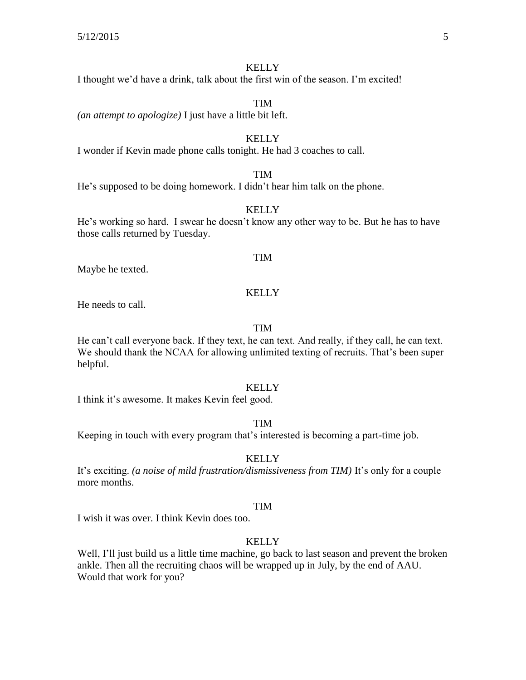I thought we'd have a drink, talk about the first win of the season. I'm excited!

TIM *(an attempt to apologize)* I just have a little bit left.

#### KELLY

I wonder if Kevin made phone calls tonight. He had 3 coaches to call.

#### TIM

He's supposed to be doing homework. I didn't hear him talk on the phone.

#### KELLY

He's working so hard. I swear he doesn't know any other way to be. But he has to have those calls returned by Tuesday.

#### TIM

Maybe he texted.

#### **KELLY**

He needs to call.

#### TIM

He can't call everyone back. If they text, he can text. And really, if they call, he can text. We should thank the NCAA for allowing unlimited texting of recruits. That's been super helpful.

#### **KELLY**

I think it's awesome. It makes Kevin feel good.

#### TIM

Keeping in touch with every program that's interested is becoming a part-time job.

#### **KELLY**

It's exciting. *(a noise of mild frustration/dismissiveness from TIM)* It's only for a couple more months.

#### TIM

I wish it was over. I think Kevin does too.

#### **KELLY**

Well, I'll just build us a little time machine, go back to last season and prevent the broken ankle. Then all the recruiting chaos will be wrapped up in July, by the end of AAU. Would that work for you?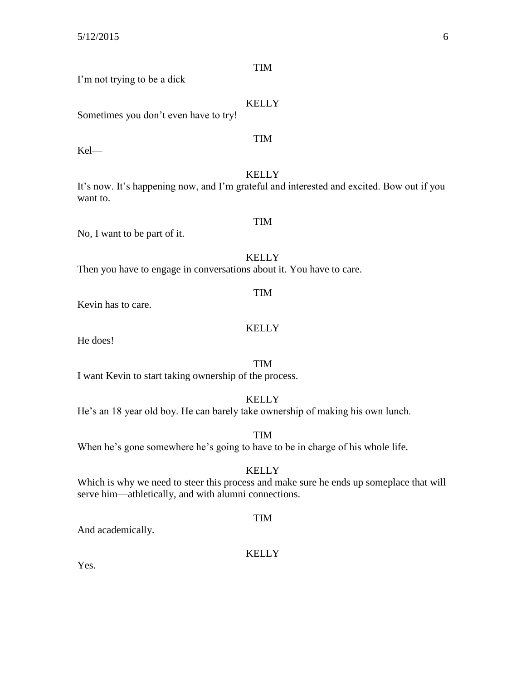| <b>TIM</b>                                                                                                            |
|-----------------------------------------------------------------------------------------------------------------------|
| I'm not trying to be a dick—                                                                                          |
| <b>KELLY</b><br>Sometimes you don't even have to try!                                                                 |
| <b>TIM</b><br>$Kel$ —                                                                                                 |
| <b>KELLY</b><br>It's now. It's happening now, and I'm grateful and interested and excited. Bow out if you<br>want to. |
| <b>TIM</b><br>No, I want to be part of it.                                                                            |
| <b>KELLY</b><br>Then you have to engage in conversations about it. You have to care.                                  |
| <b>TIM</b><br>Kevin has to care.                                                                                      |
| <b>KELLY</b><br>He does!                                                                                              |

TIM

I want Kevin to start taking ownership of the process.

KELLY He's an 18 year old boy. He can barely take ownership of making his own lunch.

TIM When he's gone somewhere he's going to have to be in charge of his whole life.

KELLY

Which is why we need to steer this process and make sure he ends up someplace that will serve him—athletically, and with alumni connections.

TIM

And academically.

#### KELLY

Yes.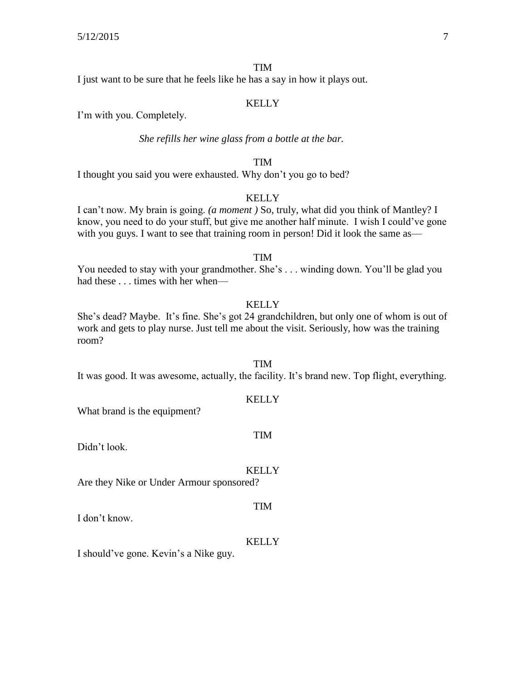#### TIM

I just want to be sure that he feels like he has a say in how it plays out.

#### KELLY

I'm with you. Completely.

#### *She refills her wine glass from a bottle at the bar.*

#### TIM

I thought you said you were exhausted. Why don't you go to bed?

#### **KELLY**

I can't now. My brain is going. *(a moment )* So, truly, what did you think of Mantley? I know, you need to do your stuff, but give me another half minute. I wish I could've gone with you guys. I want to see that training room in person! Did it look the same as—

#### TIM

You needed to stay with your grandmother. She's . . . winding down. You'll be glad you had these . . . times with her when—

#### **KELLY**

She's dead? Maybe. It's fine. She's got 24 grandchildren, but only one of whom is out of work and gets to play nurse. Just tell me about the visit. Seriously, how was the training room?

TIM It was good. It was awesome, actually, the facility. It's brand new. Top flight, everything.

#### KELLY

What brand is the equipment?

#### TIM

Didn't look.

#### **KELLY**

TIM

Are they Nike or Under Armour sponsored?

I don't know.

#### KELLY

I should've gone. Kevin's a Nike guy.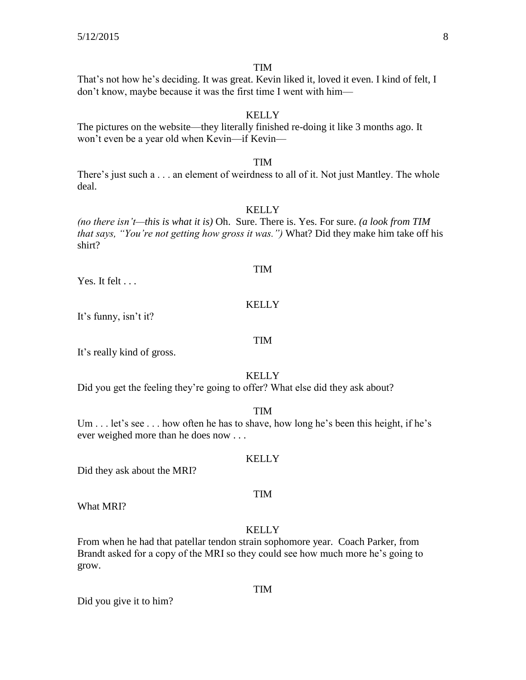That's not how he's deciding. It was great. Kevin liked it, loved it even. I kind of felt, I don't know, maybe because it was the first time I went with him—

#### **KELLY**

The pictures on the website—they literally finished re-doing it like 3 months ago. It won't even be a year old when Kevin—if Kevin—

#### TIM

There's just such a . . . an element of weirdness to all of it. Not just Mantley. The whole deal.

#### **KELLY**

*(no there isn't—this is what it is)* Oh. Sure. There is. Yes. For sure. *(a look from TIM that says, "You're not getting how gross it was.")* What? Did they make him take off his shirt?

#### TIM

Yes. It felt . . .

#### **KELLY**

It's funny, isn't it?

#### TIM

It's really kind of gross.

#### **KELLY**

Did you get the feeling they're going to offer? What else did they ask about?

#### TIM

Um . . . let's see . . . how often he has to shave, how long he's been this height, if he's ever weighed more than he does now . . .

Did they ask about the MRI?

What MRI?

#### **KELLY**

TIM

From when he had that patellar tendon strain sophomore year. Coach Parker, from Brandt asked for a copy of the MRI so they could see how much more he's going to grow.

Did you give it to him?

## KELLY

#### TIM

## TIM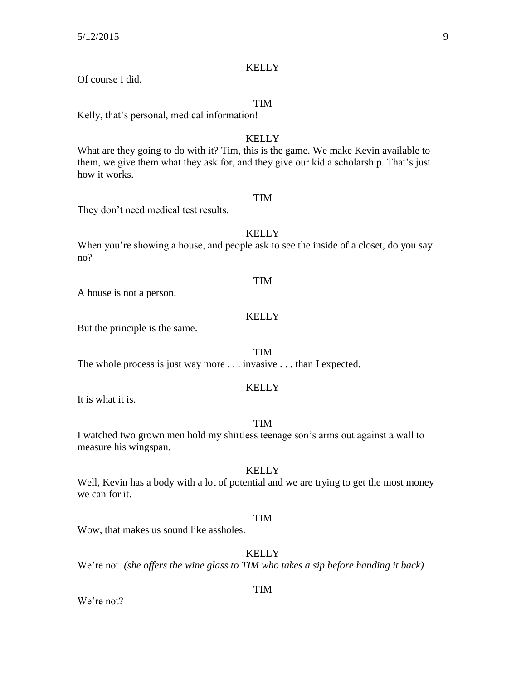Of course I did.

#### TIM

Kelly, that's personal, medical information!

#### **KELLY**

What are they going to do with it? Tim, this is the game. We make Kevin available to them, we give them what they ask for, and they give our kid a scholarship. That's just how it works.

#### TIM

They don't need medical test results.

#### **KELLY**

When you're showing a house, and people ask to see the inside of a closet, do you say no?

A house is not a person.

#### **KELLY**

TIM

But the principle is the same.

TIM

The whole process is just way more . . . invasive . . . than I expected.

#### **KELLY**

It is what it is.

#### TIM

I watched two grown men hold my shirtless teenage son's arms out against a wall to measure his wingspan.

#### **KELLY**

Well, Kevin has a body with a lot of potential and we are trying to get the most money we can for it.

#### TIM

Wow, that makes us sound like assholes.

**KELLY** 

We're not. *(she offers the wine glass to TIM who takes a sip before handing it back)* 

We're not?

#### TIM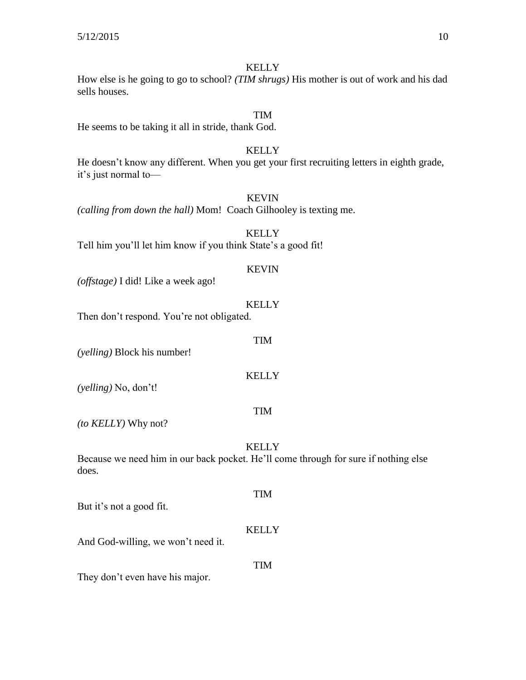How else is he going to go to school? *(TIM shrugs)* His mother is out of work and his dad sells houses.

#### TIM

He seems to be taking it all in stride, thank God.

#### KELLY

He doesn't know any different. When you get your first recruiting letters in eighth grade, it's just normal to—

#### KEVIN

*(calling from down the hall)* Mom! Coach Gilhooley is texting me.

#### **KELLY** Tell him you'll let him know if you think State's a good fit!

#### KEVIN

*(offstage)* I did! Like a week ago!

#### **KELLY**

TIM

Then don't respond. You're not obligated.

*(yelling)* Block his number!

#### KELLY

*(yelling)* No, don't!

*(to KELLY)* Why not?

#### **KELLY**

TIM

Because we need him in our back pocket. He'll come through for sure if nothing else does.

But it's not a good fit.

#### **KELLY**

TIM

And God-willing, we won't need it.

#### TIM

They don't even have his major.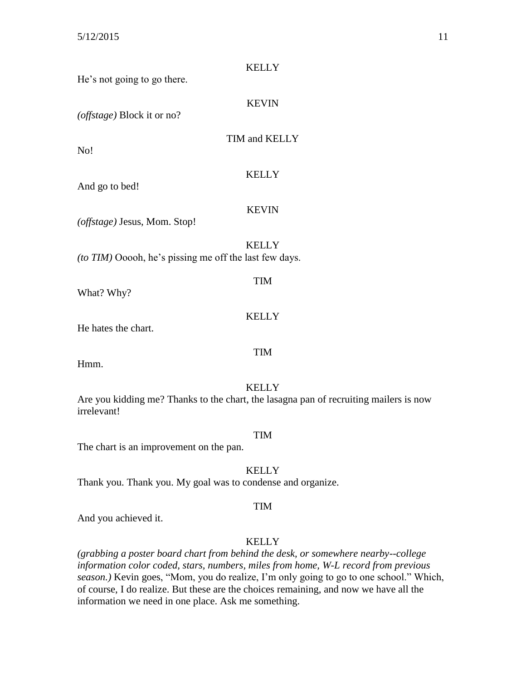| He's not going to go there.                            | <b>KELLY</b>                                                                                          |
|--------------------------------------------------------|-------------------------------------------------------------------------------------------------------|
| (offstage) Block it or no?                             | <b>KEVIN</b>                                                                                          |
| No!                                                    | TIM and KELLY                                                                                         |
| And go to bed!                                         | <b>KELLY</b>                                                                                          |
| (offstage) Jesus, Mom. Stop!                           | <b>KEVIN</b>                                                                                          |
| (to TIM) Ooooh, he's pissing me off the last few days. | <b>KELLY</b>                                                                                          |
| What? Why?                                             | <b>TIM</b>                                                                                            |
| He hates the chart.                                    | <b>KELLY</b>                                                                                          |
| Hmm.                                                   | <b>TIM</b>                                                                                            |
| irrelevant!                                            | <b>KELLY</b><br>Are you kidding me? Thanks to the chart, the lasagna pan of recruiting mailers is now |
|                                                        | <b>TIM</b>                                                                                            |

The chart is an improvement on the pan.

KELLY

Thank you. Thank you. My goal was to condense and organize.

#### TIM

And you achieved it.

#### KELLY

*(grabbing a poster board chart from behind the desk, or somewhere nearby--college information color coded, stars, numbers, miles from home, W-L record from previous season.)* Kevin goes, "Mom, you do realize, I'm only going to go to one school." Which, of course, I do realize. But these are the choices remaining, and now we have all the information we need in one place. Ask me something.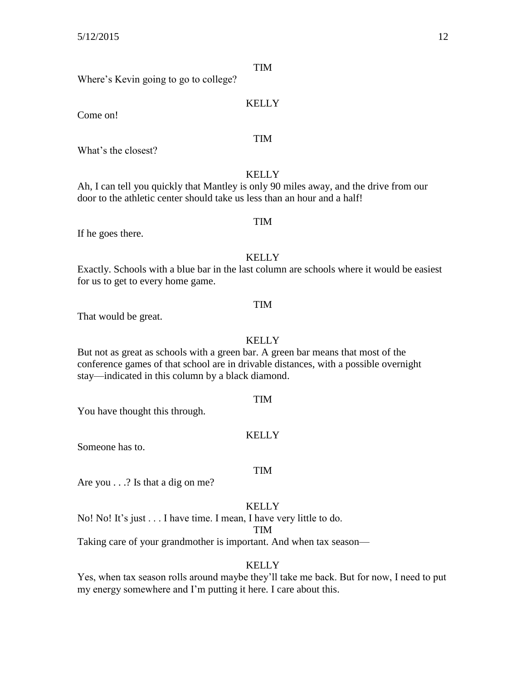Where's Kevin going to go to college?

Come on!

What's the closest?

#### **KELLY**

Ah, I can tell you quickly that Mantley is only 90 miles away, and the drive from our door to the athletic center should take us less than an hour and a half!

If he goes there.

#### **KELLY**

Exactly. Schools with a blue bar in the last column are schools where it would be easiest for us to get to every home game.

#### TIM

That would be great.

#### KELLY

But not as great as schools with a green bar. A green bar means that most of the conference games of that school are in drivable distances, with a possible overnight stay—indicated in this column by a black diamond.

#### TIM

You have thought this through.

#### **KELLY**

Someone has to.

#### TIM

Are you . . .? Is that a dig on me?

#### **KELLY**

No! No! It's just . . . I have time. I mean, I have very little to do.

TIM

Taking care of your grandmother is important. And when tax season—

#### **KELLY**

Yes, when tax season rolls around maybe they'll take me back. But for now, I need to put my energy somewhere and I'm putting it here. I care about this.

### TIM

KELLY

TIM

TIM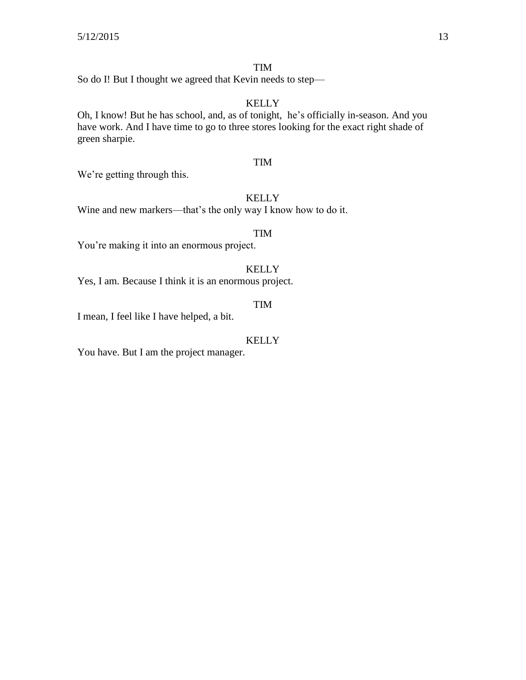#### TIM

So do I! But I thought we agreed that Kevin needs to step—

#### KELLY

Oh, I know! But he has school, and, as of tonight, he's officially in-season. And you have work. And I have time to go to three stores looking for the exact right shade of green sharpie.

#### TIM

We're getting through this.

#### KELLY

Wine and new markers—that's the only way I know how to do it.

#### TIM

You're making it into an enormous project.

#### KELLY

Yes, I am. Because I think it is an enormous project.

#### TIM

I mean, I feel like I have helped, a bit.

#### KELLY

You have. But I am the project manager.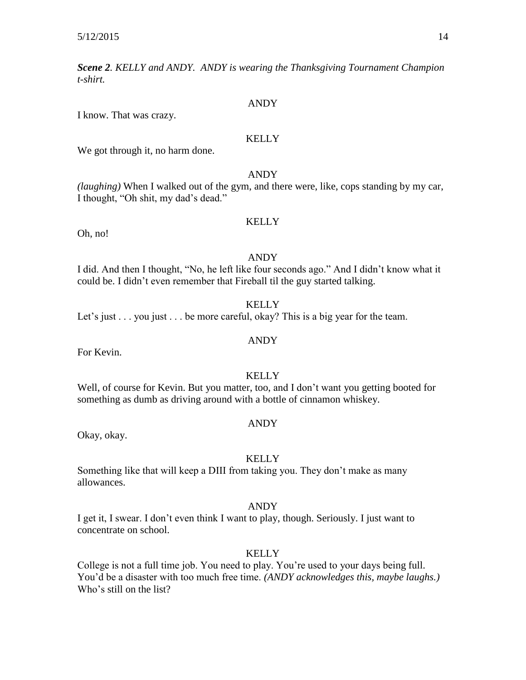*Scene 2. KELLY and ANDY. ANDY is wearing the Thanksgiving Tournament Champion t-shirt.*

#### ANDY

I know. That was crazy.

#### **KELLY**

We got through it, no harm done.

#### ANDY

*(laughing)* When I walked out of the gym, and there were, like, cops standing by my car, I thought, "Oh shit, my dad's dead."

#### **KELLY**

Oh, no!

#### ANDY

I did. And then I thought, "No, he left like four seconds ago." And I didn't know what it could be. I didn't even remember that Fireball til the guy started talking.

#### **KELLY**

Let's just . . . you just . . . be more careful, okay? This is a big year for the team.

## ANDY

For Kevin.

#### **KELLY**

Well, of course for Kevin. But you matter, too, and I don't want you getting booted for something as dumb as driving around with a bottle of cinnamon whiskey.

#### ANDY

Okay, okay.

#### **KELLY**

Something like that will keep a DIII from taking you. They don't make as many allowances.

#### ANDY

I get it, I swear. I don't even think I want to play, though. Seriously. I just want to concentrate on school.

#### **KELLY**

College is not a full time job. You need to play. You're used to your days being full. You'd be a disaster with too much free time. *(ANDY acknowledges this, maybe laughs.)* Who's still on the list?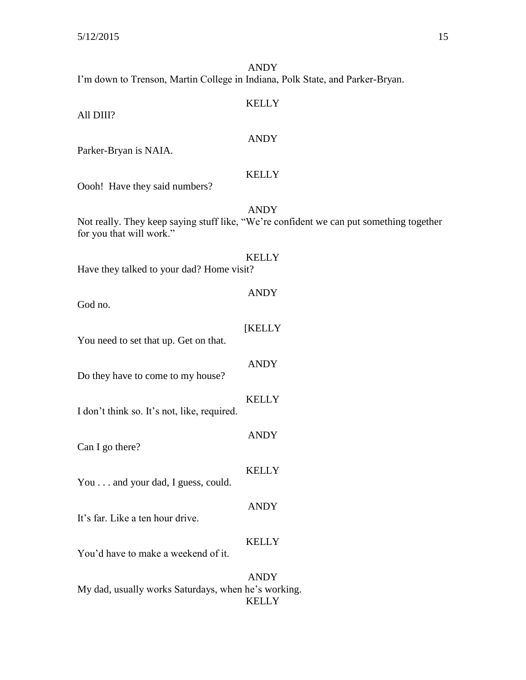ANDY I'm down to Trenson, Martin College in Indiana, Polk State, and Parker-Bryan.

| All DIII?                                   | <b>KELLY</b>                                                                                           |
|---------------------------------------------|--------------------------------------------------------------------------------------------------------|
| Parker-Bryan is NAIA.                       | <b>ANDY</b>                                                                                            |
| Oooh! Have they said numbers?               | <b>KELLY</b>                                                                                           |
| for you that will work."                    | <b>ANDY</b><br>Not really. They keep saying stuff like, "We're confident we can put something together |
| Have they talked to your dad? Home visit?   | <b>KELLY</b>                                                                                           |
| God no.                                     | <b>ANDY</b>                                                                                            |
| You need to set that up. Get on that.       | [KELLY                                                                                                 |
| Do they have to come to my house?           | <b>ANDY</b>                                                                                            |
| I don't think so. It's not, like, required. | <b>KELLY</b>                                                                                           |
| Can I go there?                             | <b>ANDY</b>                                                                                            |
| You and your dad, I guess, could.           | <b>KELLY</b>                                                                                           |
| It's far. Like a ten hour drive.            | <b>ANDY</b>                                                                                            |
| You'd have to make a weekend of it.         | <b>KELLY</b>                                                                                           |
|                                             | <b>ANDY</b>                                                                                            |

My dad, usually works Saturdays, when he's working. KELLY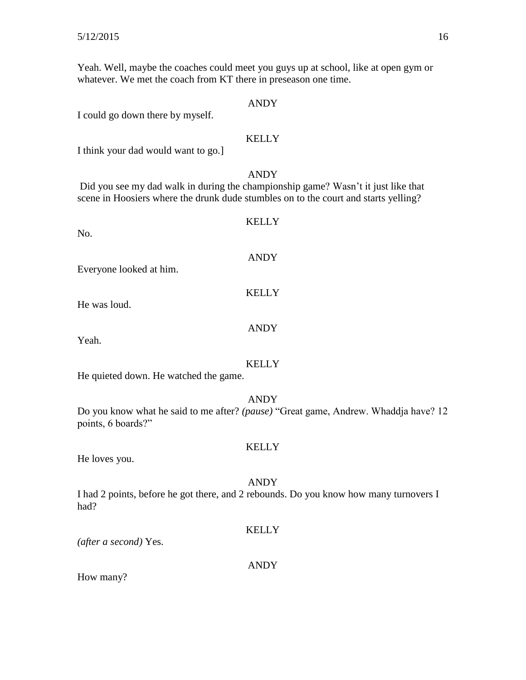Yeah. Well, maybe the coaches could meet you guys up at school, like at open gym or whatever. We met the coach from KT there in preseason one time.

#### ANDY

I could go down there by myself.

#### **KELLY**

I think your dad would want to go.]

#### ANDY

Did you see my dad walk in during the championship game? Wasn't it just like that scene in Hoosiers where the drunk dude stumbles on to the court and starts yelling?

KELLY No. ANDY Everyone looked at him. **KELLY** He was loud. ANDY Yeah. KELLY

He quieted down. He watched the game.

#### ANDY

Do you know what he said to me after? *(pause)* "Great game, Andrew. Whaddja have? 12 points, 6 boards?"

#### **KELLY**

He loves you.

#### ANDY

I had 2 points, before he got there, and 2 rebounds. Do you know how many turnovers I had?

#### **KELLY**

*(after a second)* Yes.

#### ANDY

How many?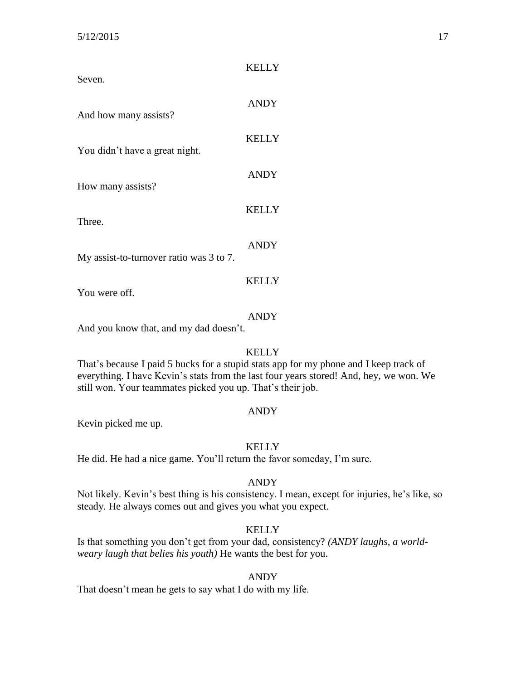| Seven.                                  | <b>KELLY</b> |
|-----------------------------------------|--------------|
| And how many assists?                   | <b>ANDY</b>  |
| You didn't have a great night.          | <b>KELLY</b> |
| How many assists?                       | <b>ANDY</b>  |
| Three.                                  | <b>KELLY</b> |
| My assist-to-turnover ratio was 3 to 7. | <b>ANDY</b>  |
| You were off.                           | <b>KELLY</b> |

ANDY

And you know that, and my dad doesn't.

#### KELLY

That's because I paid 5 bucks for a stupid stats app for my phone and I keep track of everything. I have Kevin's stats from the last four years stored! And, hey, we won. We still won. Your teammates picked you up. That's their job.

#### ANDY

Kevin picked me up.

#### **KELLY**

He did. He had a nice game. You'll return the favor someday, I'm sure.

#### ANDY

Not likely. Kevin's best thing is his consistency. I mean, except for injuries, he's like, so steady. He always comes out and gives you what you expect.

#### **KELLY**

Is that something you don't get from your dad, consistency? *(ANDY laughs, a worldweary laugh that belies his youth)* He wants the best for you.

#### ANDY

That doesn't mean he gets to say what I do with my life.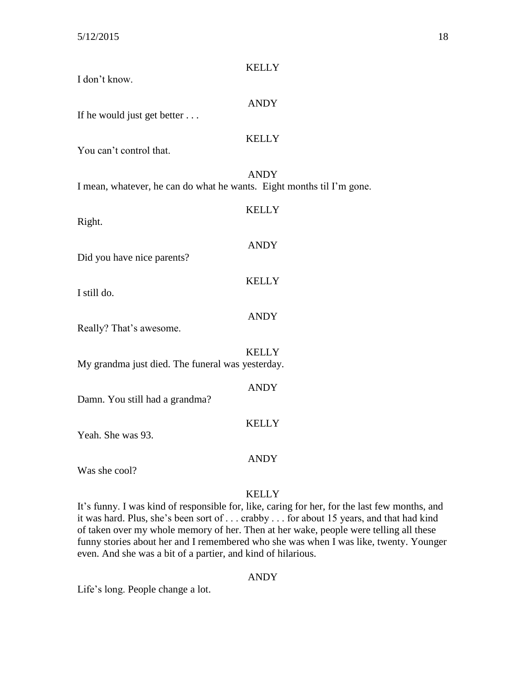| I don't know.                                                         | <b>KELLY</b> |
|-----------------------------------------------------------------------|--------------|
| If he would just get better                                           | <b>ANDY</b>  |
| You can't control that.                                               | <b>KELLY</b> |
| I mean, whatever, he can do what he wants. Eight months til I'm gone. | <b>ANDY</b>  |
| Right.                                                                | <b>KELLY</b> |
| Did you have nice parents?                                            | <b>ANDY</b>  |
| I still do.                                                           | <b>KELLY</b> |
| Really? That's awesome.                                               | <b>ANDY</b>  |
| My grandma just died. The funeral was yesterday.                      | <b>KELLY</b> |
| Damn. You still had a grandma?                                        | <b>ANDY</b>  |
| Yeah. She was 93.                                                     | <b>KELLY</b> |
|                                                                       | <b>ANDY</b>  |
| Was she cool?                                                         |              |

It's funny. I was kind of responsible for, like, caring for her, for the last few months, and it was hard. Plus, she's been sort of . . . crabby . . . for about 15 years, and that had kind of taken over my whole memory of her. Then at her wake, people were telling all these funny stories about her and I remembered who she was when I was like, twenty. Younger even. And she was a bit of a partier, and kind of hilarious.

#### ANDY

Life's long. People change a lot.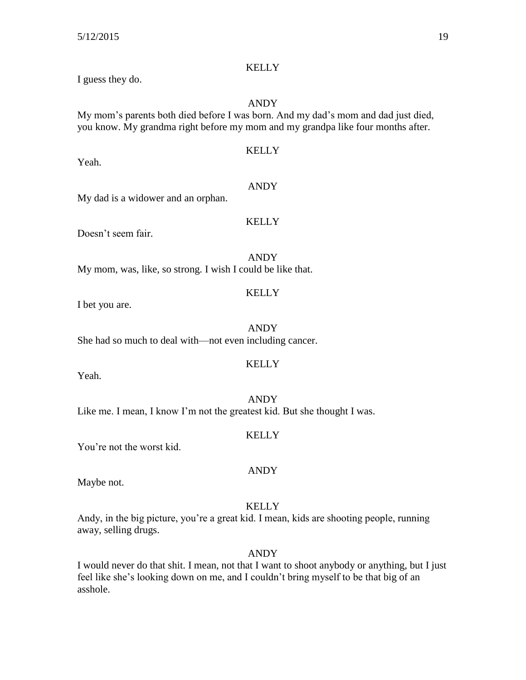Yeah.

#### **KELLY**

I guess they do.

#### ANDY

My mom's parents both died before I was born. And my dad's mom and dad just died, you know. My grandma right before my mom and my grandpa like four months after.

### KELLY

ANDY

**KELLY** 

## My dad is a widower and an orphan.

Doesn't seem fair.

ANDY My mom, was, like, so strong. I wish I could be like that.

#### **KELLY**

I bet you are.

ANDY She had so much to deal with—not even including cancer.

#### KELLY

Yeah.

ANDY Like me. I mean, I know I'm not the greatest kid. But she thought I was.

#### **KELLY**

You're not the worst kid.

#### ANDY

Maybe not.

#### **KELLY**

Andy, in the big picture, you're a great kid. I mean, kids are shooting people, running away, selling drugs.

ANDY

I would never do that shit. I mean, not that I want to shoot anybody or anything, but I just feel like she's looking down on me, and I couldn't bring myself to be that big of an asshole.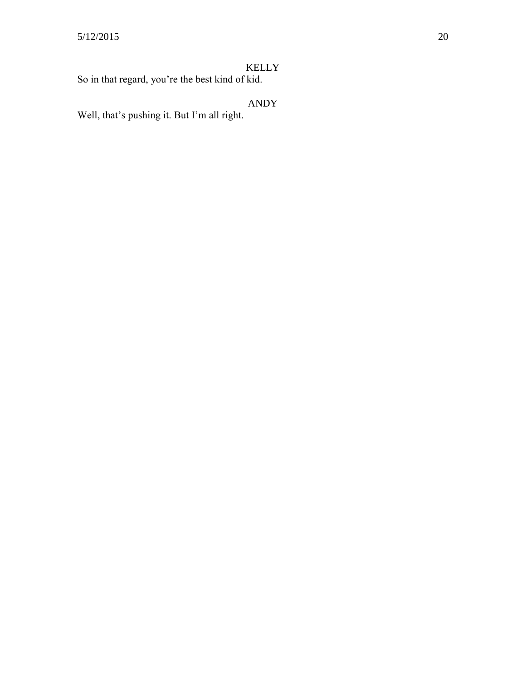So in that regard, you're the best kind of kid.

## ANDY

Well, that's pushing it. But I'm all right.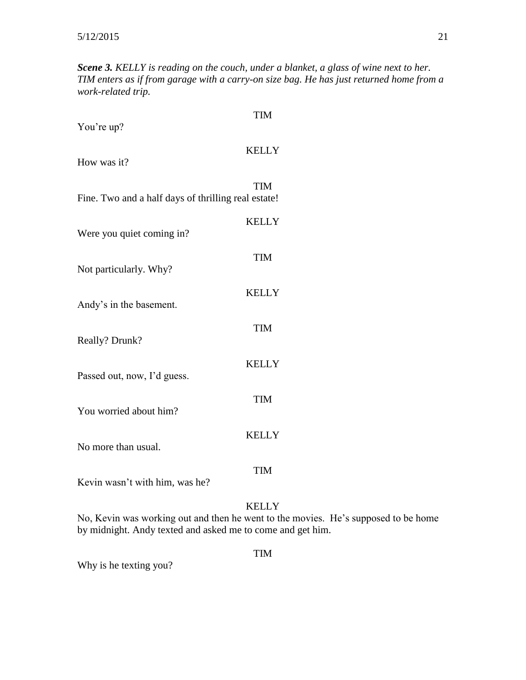*Scene 3. KELLY is reading on the couch, under a blanket, a glass of wine next to her. TIM enters as if from garage with a carry-on size bag. He has just returned home from a work-related trip.*

| You're up?                                          | <b>TIM</b>   |
|-----------------------------------------------------|--------------|
| How was it?                                         | <b>KELLY</b> |
| Fine. Two and a half days of thrilling real estate! | <b>TIM</b>   |
| Were you quiet coming in?                           | <b>KELLY</b> |
| Not particularly. Why?                              | <b>TIM</b>   |
| Andy's in the basement.                             | <b>KELLY</b> |
| Really? Drunk?                                      | <b>TIM</b>   |
| Passed out, now, I'd guess.                         | <b>KELLY</b> |
| You worried about him?                              | <b>TIM</b>   |
| No more than usual.                                 | <b>KELLY</b> |
| Kevin wasn't with him, was he?                      | <b>TIM</b>   |
| No Kevin was working out and then he went to the    | <b>KELLY</b> |

No, Kevin was working out and then he went to the movies. He's supposed to be home by midnight. Andy texted and asked me to come and get him.

TIM

Why is he texting you?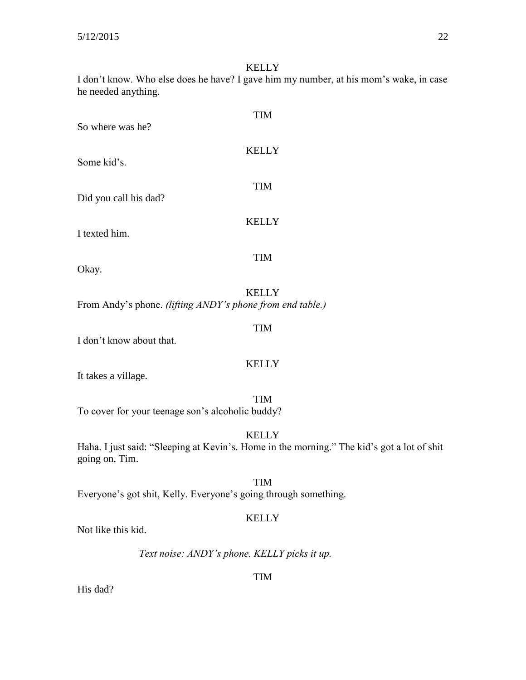I don't know. Who else does he have? I gave him my number, at his mom's wake, in case he needed anything.

| <b>TIM</b>                                                                                                                   |
|------------------------------------------------------------------------------------------------------------------------------|
| So where was he?                                                                                                             |
| <b>KELLY</b><br>Some kid's.                                                                                                  |
| <b>TIM</b><br>Did you call his dad?                                                                                          |
| <b>KELLY</b><br>I texted him.                                                                                                |
| TIM<br>Okay.                                                                                                                 |
|                                                                                                                              |
| <b>KELLY</b><br>From Andy's phone. (lifting ANDY's phone from end table.)                                                    |
| TIM<br>I don't know about that.                                                                                              |
| <b>KELLY</b><br>It takes a village.                                                                                          |
| <b>TIM</b><br>To cover for your teenage son's alcoholic buddy?                                                               |
| <b>KELLY</b><br>Haha. I just said: "Sleeping at Kevin's. Home in the morning." The kid's got a lot of shit<br>going on, Tim. |
| <b>TIM</b><br>Everyone's got shit, Kelly. Everyone's going through something.                                                |
| <b>KELLY</b>                                                                                                                 |
|                                                                                                                              |

Not like this kid.

*Text noise: ANDY's phone. KELLY picks it up.*

TIM

His dad?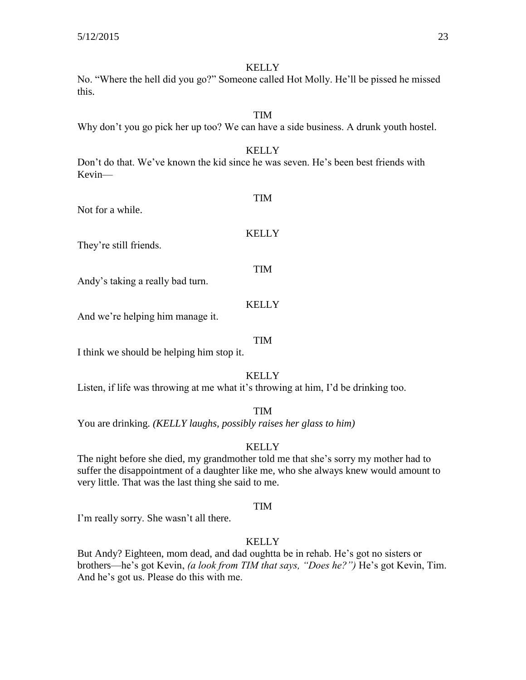No. "Where the hell did you go?" Someone called Hot Molly. He'll be pissed he missed this.

### TIM

Why don't you go pick her up too? We can have a side business. A drunk youth hostel.

#### KELLY

Don't do that. We've known the kid since he was seven. He's been best friends with Kevin—

|  | Not for a while. |
|--|------------------|
|  |                  |

#### **KELLY**

TIM

They're still friends.

Andy's taking a really bad turn.

#### **KELLY**

TIM

And we're helping him manage it.

#### TIM

I think we should be helping him stop it.

#### **KELLY**

Listen, if life was throwing at me what it's throwing at him, I'd be drinking too.

#### TIM

You are drinking. *(KELLY laughs, possibly raises her glass to him)* 

#### **KELLY**

The night before she died, my grandmother told me that she's sorry my mother had to suffer the disappointment of a daughter like me, who she always knew would amount to very little. That was the last thing she said to me.

#### TIM

I'm really sorry. She wasn't all there.

#### **KELLY**

But Andy? Eighteen, mom dead, and dad oughtta be in rehab. He's got no sisters or brothers—he's got Kevin, *(a look from TIM that says, "Does he?")* He's got Kevin, Tim. And he's got us. Please do this with me.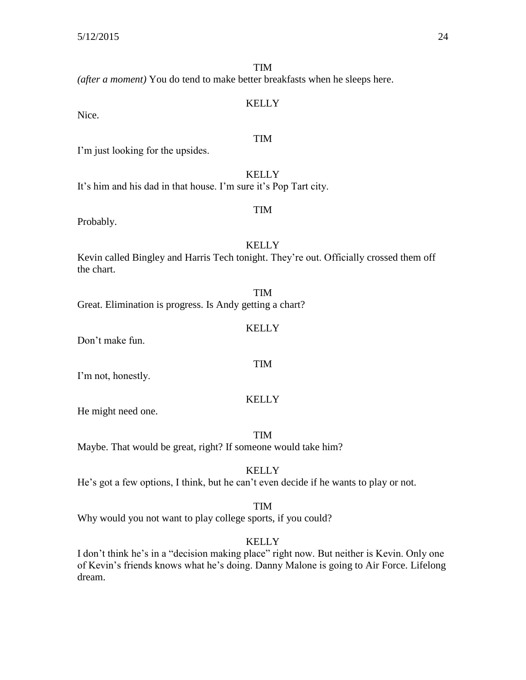TIM *(after a moment)* You do tend to make better breakfasts when he sleeps here. KELLY Nice. TIM I'm just looking for the upsides. **KELLY** It's him and his dad in that house. I'm sure it's Pop Tart city. TIM Probably. **KELLY** Kevin called Bingley and Harris Tech tonight. They're out. Officially crossed them off the chart. TIM Great. Elimination is progress. Is Andy getting a chart? **KELLY** Don't make fun.

I'm not, honestly.

#### KELLY

TIM

He might need one.

TIM

Maybe. That would be great, right? If someone would take him?

**KELLY** 

He's got a few options, I think, but he can't even decide if he wants to play or not.

#### TIM

Why would you not want to play college sports, if you could?

#### **KELLY**

I don't think he's in a "decision making place" right now. But neither is Kevin. Only one of Kevin's friends knows what he's doing. Danny Malone is going to Air Force. Lifelong dream.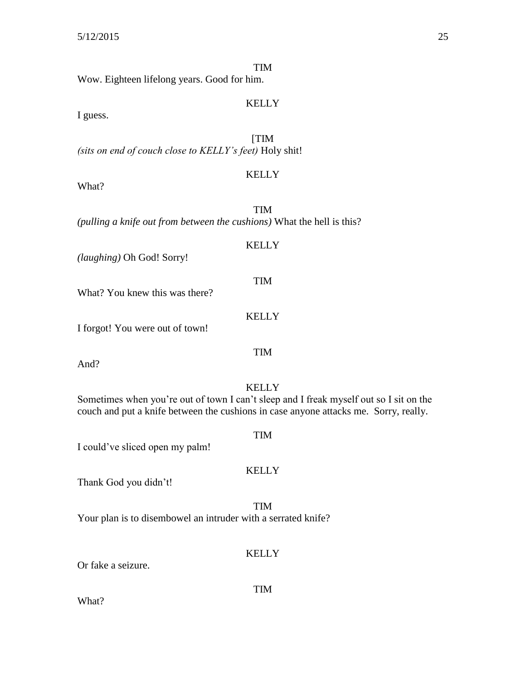| Wow. Eighteen lifelong years. Good for him.             | TIM          |  |
|---------------------------------------------------------|--------------|--|
| I guess.                                                | <b>KELLY</b> |  |
|                                                         |              |  |
| (sits on end of couch close to KELLY's feet) Holy shit! | [TIM         |  |
| What?                                                   | <b>KELLY</b> |  |
|                                                         |              |  |
|                                                         |              |  |

*(pulling a knife out from between the cushions)* What the hell is this?

## **KELLY** *(laughing)* Oh God! Sorry! TIM What? You knew this was there? KELLY I forgot! You were out of town!

And?

#### **KELLY**

TIM

Sometimes when you're out of town I can't sleep and I freak myself out so I sit on the couch and put a knife between the cushions in case anyone attacks me. Sorry, really.

I could've sliced open my palm!

#### KELLY

TIM

Thank God you didn't!

TIM Your plan is to disembowel an intruder with a serrated knife?

#### **KELLY**

TIM

Or fake a seizure.

What?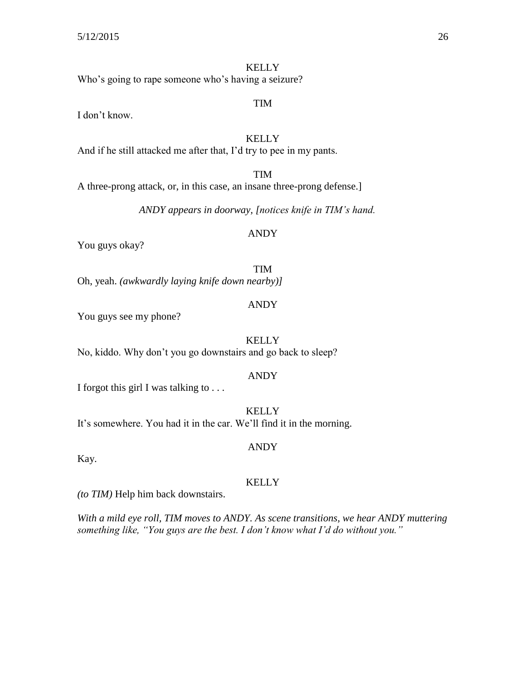**KELLY** Who's going to rape someone who's having a seizure?

I don't know.

**KELLY** And if he still attacked me after that, I'd try to pee in my pants.

TIM A three-prong attack, or, in this case, an insane three-prong defense.]

*ANDY appears in doorway, [notices knife in TIM's hand.*

#### ANDY

You guys okay?

TIM Oh, yeah. *(awkwardly laying knife down nearby)]*

#### ANDY

You guys see my phone?

**KELLY** No, kiddo. Why don't you go downstairs and go back to sleep?

#### ANDY

I forgot this girl I was talking to . . .

**KELLY** It's somewhere. You had it in the car. We'll find it in the morning.

#### ANDY

Kay.

#### KELLY

*(to TIM)* Help him back downstairs.

*With a mild eye roll, TIM moves to ANDY. As scene transitions, we hear ANDY muttering something like, "You guys are the best. I don't know what I'd do without you."*

TIM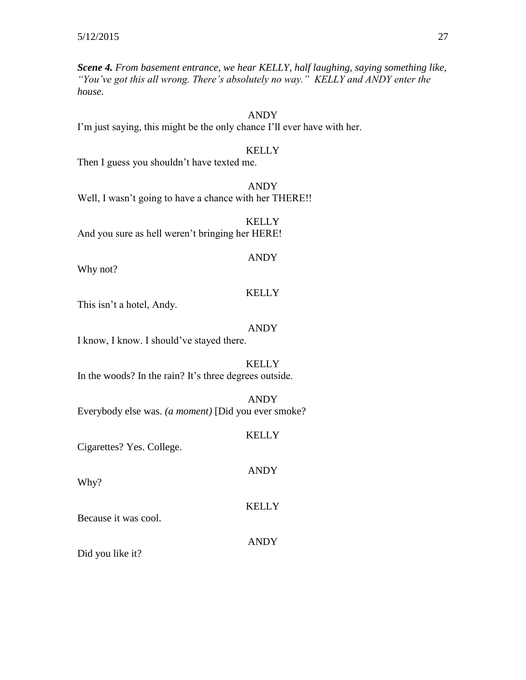*Scene 4. From basement entrance, we hear KELLY, half laughing, saying something like, "You've got this all wrong. There's absolutely no way." KELLY and ANDY enter the house.*

### ANDY

I'm just saying, this might be the only chance I'll ever have with her.

#### KELLY

Then I guess you shouldn't have texted me.

ANDY Well, I wasn't going to have a chance with her THERE!!

**KELLY** And you sure as hell weren't bringing her HERE!

Why not?

#### KELLY

ANDY

This isn't a hotel, Andy.

#### ANDY

I know, I know. I should've stayed there.

#### KELLY

In the woods? In the rain? It's three degrees outside.

ANDY

Everybody else was. *(a moment)* [Did you ever smoke?

#### KELLY

ANDY

Cigarettes? Yes. College.

Why?

#### KELLY

Because it was cool.

ANDY

Did you like it?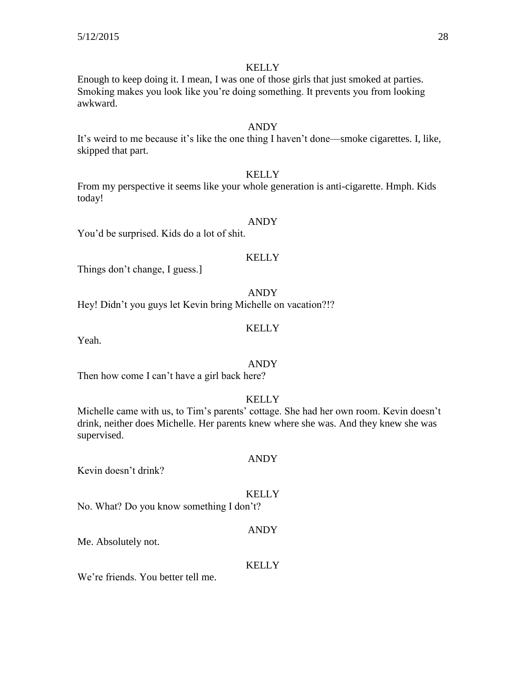Enough to keep doing it. I mean, I was one of those girls that just smoked at parties. Smoking makes you look like you're doing something. It prevents you from looking awkward.

#### ANDY

It's weird to me because it's like the one thing I haven't done—smoke cigarettes. I, like, skipped that part.

#### **KELLY**

From my perspective it seems like your whole generation is anti-cigarette. Hmph. Kids today!

#### ANDY

You'd be surprised. Kids do a lot of shit.

#### **KELLY**

Things don't change, I guess.]

ANDY

Hey! Didn't you guys let Kevin bring Michelle on vacation?!?

#### **KELLY**

Yeah.

#### ANDY

Then how come I can't have a girl back here?

#### **KELLY**

Michelle came with us, to Tim's parents' cottage. She had her own room. Kevin doesn't drink, neither does Michelle. Her parents knew where she was. And they knew she was supervised.

ANDY

Kevin doesn't drink?

#### **KELLY**

No. What? Do you know something I don't?

#### ANDY

Me. Absolutely not.

#### **KELLY**

We're friends. You better tell me.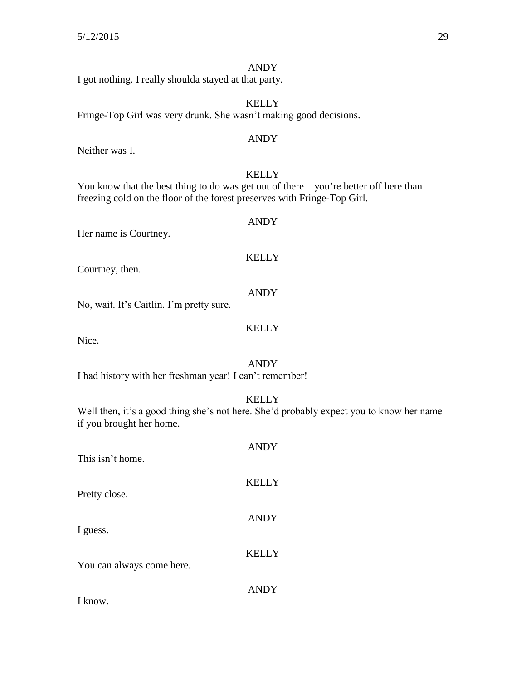#### ANDY

I got nothing. I really shoulda stayed at that party.

KELLY Fringe-Top Girl was very drunk. She wasn't making good decisions.

#### ANDY

Neither was I.

#### **KELLY**

ANDY

KELLY

ANDY

You know that the best thing to do was get out of there—you're better off here than freezing cold on the floor of the forest preserves with Fringe-Top Girl.

Her name is Courtney.

#### Courtney, then.

No, wait. It's Caitlin. I'm pretty sure.

### KELLY

Nice.

#### ANDY

I had history with her freshman year! I can't remember!

**KELLY** 

Well then, it's a good thing she's not here. She'd probably expect you to know her name if you brought her home.

| This isn't home.          | <b>ANDY</b>  |
|---------------------------|--------------|
| Pretty close.             | <b>KELLY</b> |
| I guess.                  | <b>ANDY</b>  |
| You can always come here. | <b>KELLY</b> |
| $\mathbf{r}$ 1            | <b>ANDY</b>  |

I know.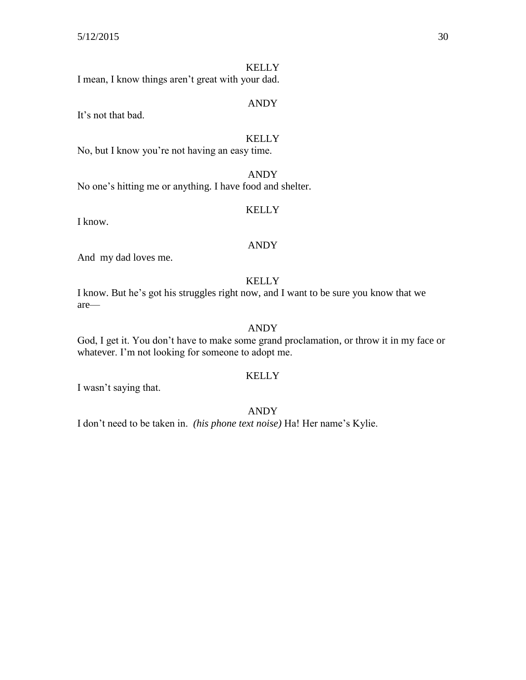I mean, I know things aren't great with your dad.

#### ANDY

It's not that bad.

#### **KELLY**

No, but I know you're not having an easy time.

ANDY No one's hitting me or anything. I have food and shelter.

#### KELLY

I know.

#### ANDY

And my dad loves me.

#### KELLY

I know. But he's got his struggles right now, and I want to be sure you know that we are—

### ANDY

God, I get it. You don't have to make some grand proclamation, or throw it in my face or whatever. I'm not looking for someone to adopt me.

#### KELLY

I wasn't saying that.

#### ANDY

I don't need to be taken in. *(his phone text noise)* Ha! Her name's Kylie.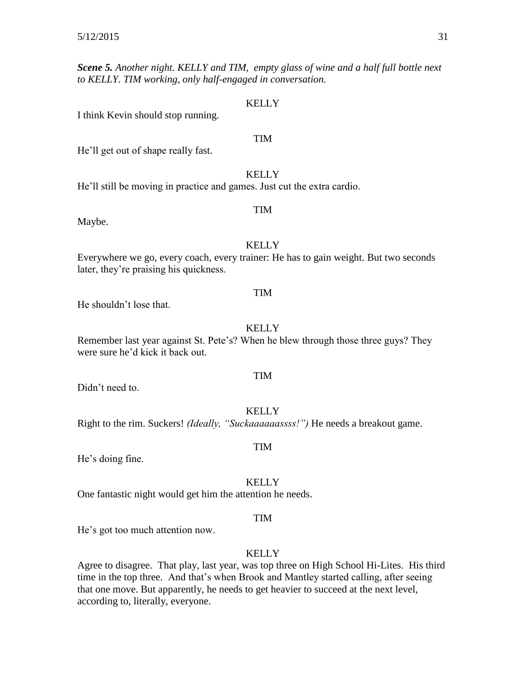*Scene 5. Another night. KELLY and TIM, empty glass of wine and a half full bottle next to KELLY. TIM working, only half-engaged in conversation.*

#### KELLY

I think Kevin should stop running.

#### TIM

He'll get out of shape really fast.

#### **KELLY**

TIM

He'll still be moving in practice and games. Just cut the extra cardio.

#### Maybe.

#### **KELLY**

Everywhere we go, every coach, every trainer: He has to gain weight. But two seconds later, they're praising his quickness.

#### TIM

He shouldn't lose that.

#### **KELLY**

Remember last year against St. Pete's? When he blew through those three guys? They were sure he'd kick it back out.

Didn't need to.

#### **KELLY**

TIM

Right to the rim. Suckers! *(Ideally, "Suckaaaaaassss!")* He needs a breakout game.

#### TIM

He's doing fine.

#### **KELLY**

One fantastic night would get him the attention he needs.

#### TIM

He's got too much attention now.

#### **KELLY**

Agree to disagree. That play, last year, was top three on High School Hi-Lites. His third time in the top three. And that's when Brook and Mantley started calling, after seeing that one move. But apparently, he needs to get heavier to succeed at the next level, according to, literally, everyone.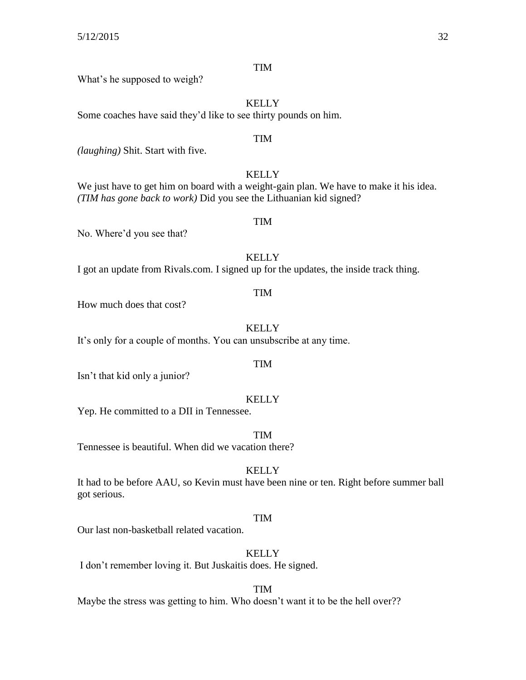What's he supposed to weigh?

## **KELLY** Some coaches have said they'd like to see thirty pounds on him. TIM *(laughing)* Shit. Start with five. **KELLY** We just have to get him on board with a weight-gain plan. We have to make it his idea. *(TIM has gone back to work)* Did you see the Lithuanian kid signed? TIM No. Where'd you see that?

**KELLY** I got an update from Rivals.com. I signed up for the updates, the inside track thing.

#### TIM

How much does that cost?

**KELLY** 

It's only for a couple of months. You can unsubscribe at any time.

#### TIM

Isn't that kid only a junior?

#### **KELLY**

Yep. He committed to a DII in Tennessee.

TIM

Tennessee is beautiful. When did we vacation there?

#### **KELLY**

It had to be before AAU, so Kevin must have been nine or ten. Right before summer ball got serious.

#### TIM

Our last non-basketball related vacation.

**KELLY** 

I don't remember loving it. But Juskaitis does. He signed.

#### TIM

Maybe the stress was getting to him. Who doesn't want it to be the hell over??

## TIM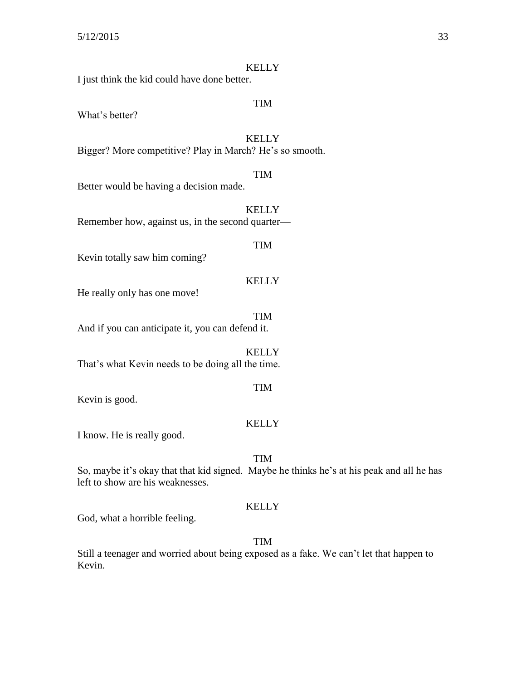I just think the kid could have done better.

#### TIM

What's better?

## **KELLY**

Bigger? More competitive? Play in March? He's so smooth.

#### TIM

Better would be having a decision made.

**KELLY** Remember how, against us, in the second quarter—

#### TIM

Kevin totally saw him coming?

#### KELLY

He really only has one move!

TIM And if you can anticipate it, you can defend it.

**KELLY** That's what Kevin needs to be doing all the time.

#### TIM

Kevin is good.

#### KELLY

I know. He is really good.

#### TIM

So, maybe it's okay that that kid signed. Maybe he thinks he's at his peak and all he has left to show are his weaknesses.

#### **KELLY**

God, what a horrible feeling.

#### TIM

Still a teenager and worried about being exposed as a fake. We can't let that happen to Kevin.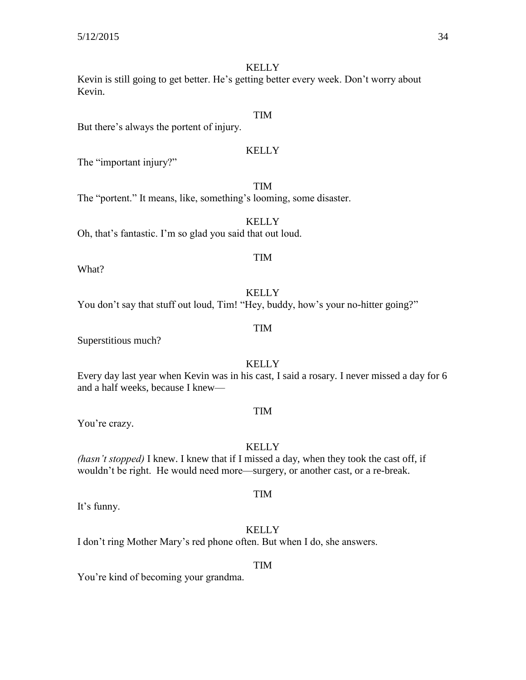Kevin is still going to get better. He's getting better every week. Don't worry about Kevin.

### TIM

But there's always the portent of injury.

#### KELLY

TIM

The "important injury?"

The "portent." It means, like, something's looming, some disaster.

**KELLY** Oh, that's fantastic. I'm so glad you said that out loud.

#### What?

**KELLY** 

TIM

You don't say that stuff out loud, Tim! "Hey, buddy, how's your no-hitter going?"

#### TIM

Superstitious much?

#### **KELLY**

Every day last year when Kevin was in his cast, I said a rosary. I never missed a day for 6 and a half weeks, because I knew—

TIM

You're crazy.

#### **KELLY**

*(hasn't stopped)* I knew. I knew that if I missed a day, when they took the cast off, if wouldn't be right. He would need more—surgery, or another cast, or a re-break.

It's funny.

#### **KELLY**

TIM

I don't ring Mother Mary's red phone often. But when I do, she answers.

#### TIM

You're kind of becoming your grandma.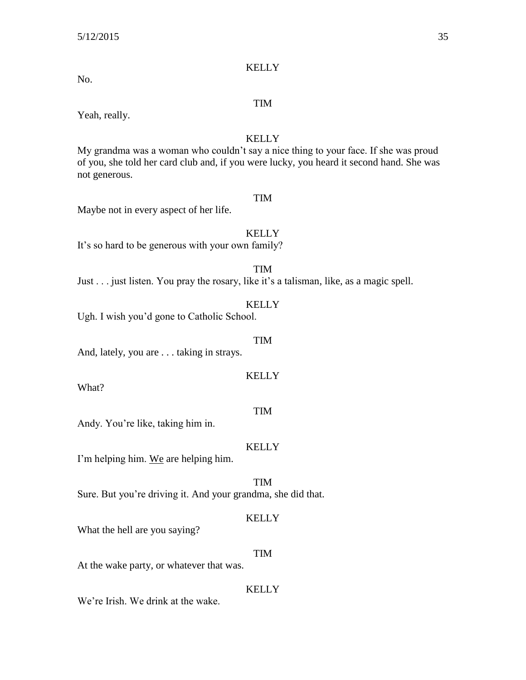No.

#### TIM

Yeah, really.

#### **KELLY**

My grandma was a woman who couldn't say a nice thing to your face. If she was proud of you, she told her card club and, if you were lucky, you heard it second hand. She was not generous.

#### TIM

Maybe not in every aspect of her life.

#### KELLY

It's so hard to be generous with your own family?

TIM

Just . . . just listen. You pray the rosary, like it's a talisman, like, as a magic spell.

#### **KELLY**

Ugh. I wish you'd gone to Catholic School.

#### TIM

KELLY

And, lately, you are . . . taking in strays.

What?

### TIM

Andy. You're like, taking him in.

#### **KELLY**

I'm helping him. We are helping him.

TIM

Sure. But you're driving it. And your grandma, she did that.

#### KELLY

What the hell are you saying?

#### TIM

At the wake party, or whatever that was.

#### **KELLY**

We're Irish. We drink at the wake.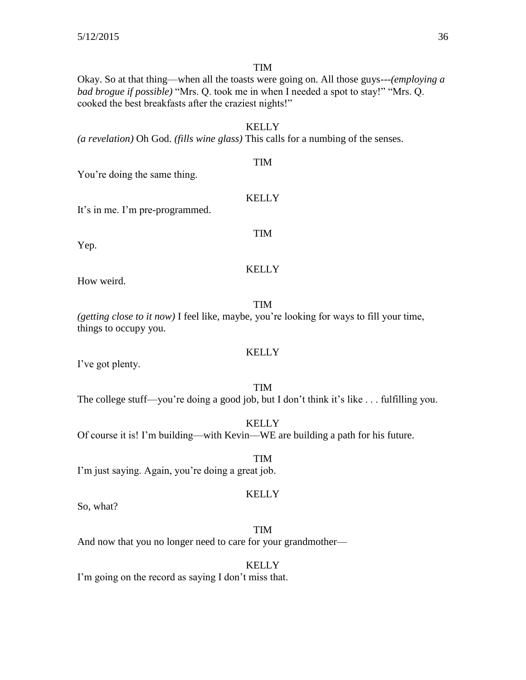TIM

Okay. So at that thing—when all the toasts were going on. All those guys---*(employing a bad brogue if possible)* "Mrs. Q. took me in when I needed a spot to stay!" "Mrs. Q. cooked the best breakfasts after the craziest nights!"

#### **KELLY**

*(a revelation)* Oh God. *(fills wine glass)* This calls for a numbing of the senses.

### TIM

KELLY

You're doing the same thing.

It's in me. I'm pre-programmed.

Yep.

TIM

## KELLY

How weird.

#### TIM

*(getting close to it now)* I feel like, maybe, you're looking for ways to fill your time, things to occupy you.

#### KELLY

I've got plenty.

TIM The college stuff—you're doing a good job, but I don't think it's like . . . fulfilling you.

**KELLY** Of course it is! I'm building—with Kevin—WE are building a path for his future.

TIM I'm just saying. Again, you're doing a great job.

#### KELLY

So, what?

TIM And now that you no longer need to care for your grandmother—

**KELLY** 

I'm going on the record as saying I don't miss that.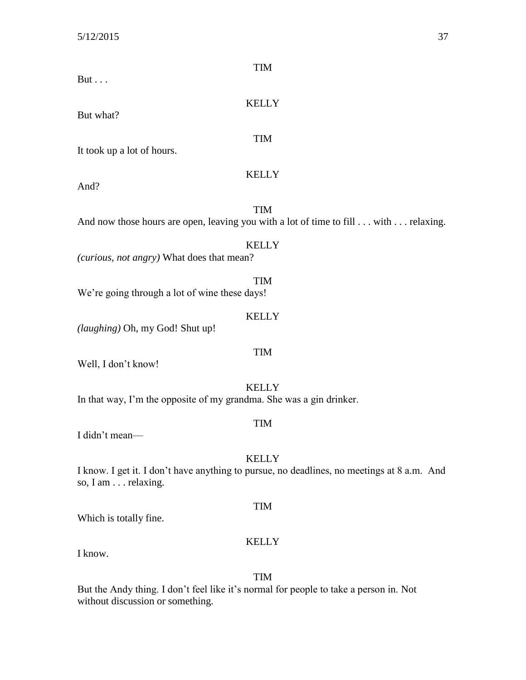| <b>TIM</b>                                                                                 |  |
|--------------------------------------------------------------------------------------------|--|
| But $\ldots$                                                                               |  |
| <b>KELLY</b>                                                                               |  |
| But what?                                                                                  |  |
|                                                                                            |  |
| <b>TIM</b><br>It took up a lot of hours.                                                   |  |
|                                                                                            |  |
| <b>KELLY</b><br>And?                                                                       |  |
|                                                                                            |  |
| <b>TIM</b>                                                                                 |  |
| And now those hours are open, leaving you with a lot of time to fill with relaxing.        |  |
| <b>KELLY</b>                                                                               |  |
| (curious, not angry) What does that mean?                                                  |  |
| <b>TIM</b>                                                                                 |  |
| We're going through a lot of wine these days!                                              |  |
|                                                                                            |  |
| <b>KELLY</b><br>(laughing) Oh, my God! Shut up!                                            |  |
|                                                                                            |  |
| <b>TIM</b>                                                                                 |  |
| Well, I don't know!                                                                        |  |
| <b>KELLY</b>                                                                               |  |
| In that way, I'm the opposite of my grandma. She was a gin drinker.                        |  |
| <b>TIM</b>                                                                                 |  |
| I didn't mean-                                                                             |  |
| <b>KELLY</b>                                                                               |  |
| I know. I get it. I don't have anything to pursue, no deadlines, no meetings at 8 a.m. And |  |
| so, I am relaxing.                                                                         |  |
| <b>TIM</b>                                                                                 |  |

Which is totally fine.

### KELLY

I know.

## TIM

But the Andy thing. I don't feel like it's normal for people to take a person in. Not without discussion or something.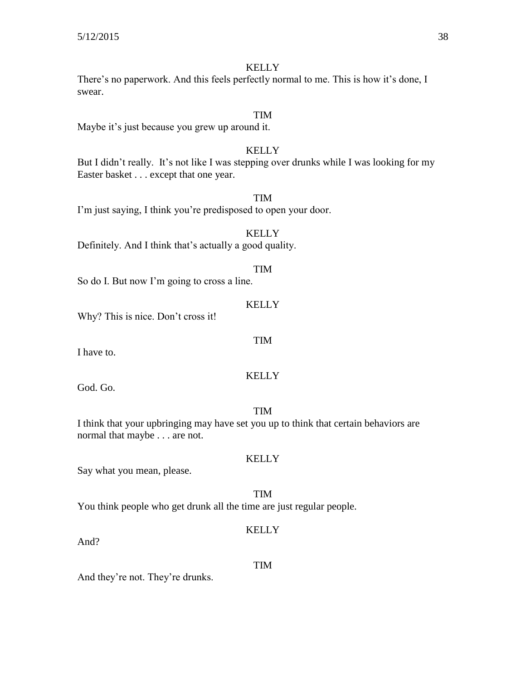There's no paperwork. And this feels perfectly normal to me. This is how it's done, I swear.

#### TIM

Maybe it's just because you grew up around it.

#### **KELLY**

But I didn't really. It's not like I was stepping over drunks while I was looking for my Easter basket . . . except that one year.

TIM

I'm just saying, I think you're predisposed to open your door.

**KELLY** Definitely. And I think that's actually a good quality.

So do I. But now I'm going to cross a line.

#### **KELLY**

TIM

KELLY

Why? This is nice. Don't cross it!

I have to.

God. Go.

#### TIM

**KELLY** 

I think that your upbringing may have set you up to think that certain behaviors are normal that maybe . . . are not.

Say what you mean, please.

TIM You think people who get drunk all the time are just regular people.

#### **KELLY**

And?

#### TIM

And they're not. They're drunks.

TIM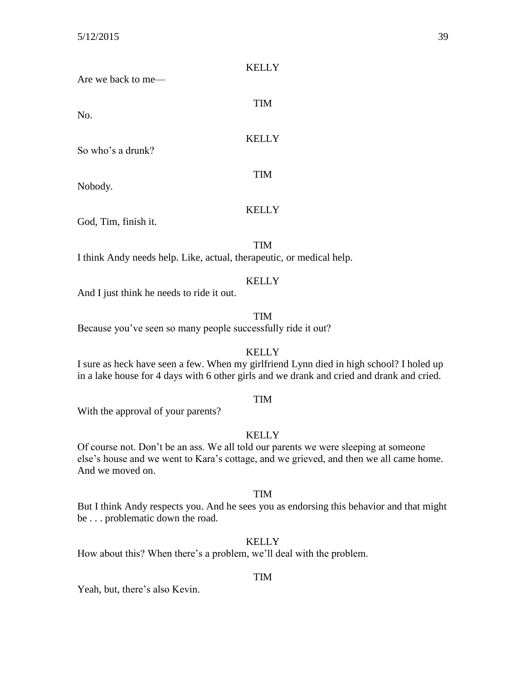| Are we back to me—                                                           | <b>KELLY</b> |
|------------------------------------------------------------------------------|--------------|
| No.                                                                          | <b>TIM</b>   |
| So who's a drunk?                                                            | <b>KELLY</b> |
| Nobody.                                                                      | <b>TIM</b>   |
| $C_{\alpha}$ <sup><math>\alpha</math></sup> Tim finich $\alpha$ <sup>1</sup> | <b>KELLY</b> |

God, Tim, finish it.

TIM

I think Andy needs help. Like, actual, therapeutic, or medical help.

#### KELLY

And I just think he needs to ride it out.

#### TIM

Because you've seen so many people successfully ride it out?

#### **KELLY**

I sure as heck have seen a few. When my girlfriend Lynn died in high school? I holed up in a lake house for 4 days with 6 other girls and we drank and cried and drank and cried.

#### TIM

With the approval of your parents?

#### **KELLY**

Of course not. Don't be an ass. We all told our parents we were sleeping at someone else's house and we went to Kara's cottage, and we grieved, and then we all came home. And we moved on.

#### TIM

But I think Andy respects you. And he sees you as endorsing this behavior and that might be . . . problematic down the road.

#### KELLY

How about this? When there's a problem, we'll deal with the problem.

#### TIM

Yeah, but, there's also Kevin.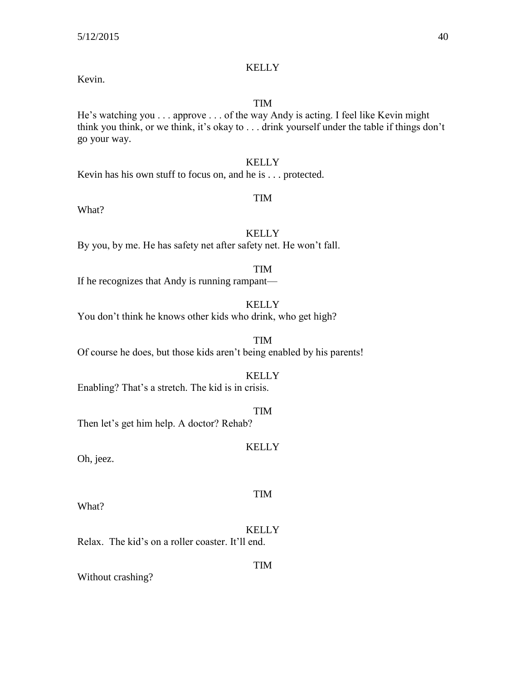#### Kevin.

#### TIM

He's watching you . . . approve . . . of the way Andy is acting. I feel like Kevin might think you think, or we think, it's okay to . . . drink yourself under the table if things don't go your way.

#### **KELLY**

Kevin has his own stuff to focus on, and he is . . . protected.

#### TIM

What?

### **KELLY**

By you, by me. He has safety net after safety net. He won't fall.

#### TIM

If he recognizes that Andy is running rampant—

#### **KELLY**

You don't think he knows other kids who drink, who get high?

TIM Of course he does, but those kids aren't being enabled by his parents!

#### **KELLY**

Enabling? That's a stretch. The kid is in crisis.

#### TIM

Then let's get him help. A doctor? Rehab?

#### **KELLY**

Oh, jeez.

What?

#### **KELLY**

TIM

TIM

Relax. The kid's on a roller coaster. It'll end.

Without crashing?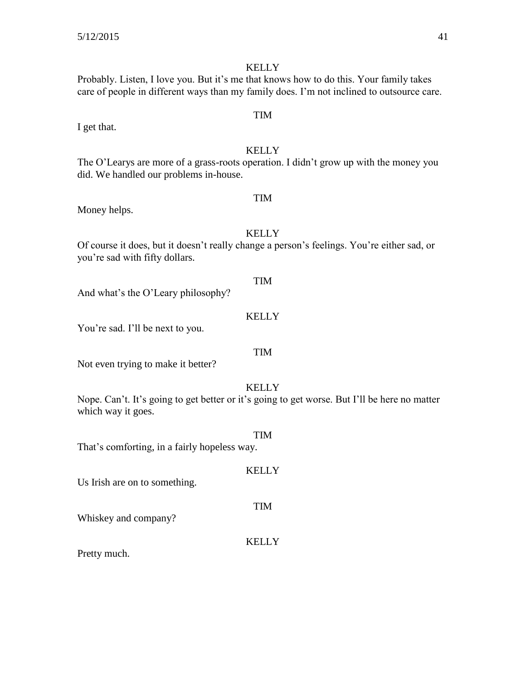Probably. Listen, I love you. But it's me that knows how to do this. Your family takes care of people in different ways than my family does. I'm not inclined to outsource care.

I get that.

KELLY The O'Learys are more of a grass-roots operation. I didn't grow up with the money you did. We handled our problems in-house.

#### Money helps.

Of course it does, but it doesn't really change a person's feelings. You're either sad, or you're sad with fifty dollars.

And what's the O'Leary philosophy?

#### KELLY

You're sad. I'll be next to you.

#### TIM

Not even trying to make it better?

#### **KELLY**

Nope. Can't. It's going to get better or it's going to get worse. But I'll be here no matter which way it goes.

TIM

**KELLY** 

TIM

That's comforting, in a fairly hopeless way.

Us Irish are on to something.

Whiskey and company?

#### KELLY

Pretty much.

### **KELLY**

TIM

# **KELLY**

TIM

TIM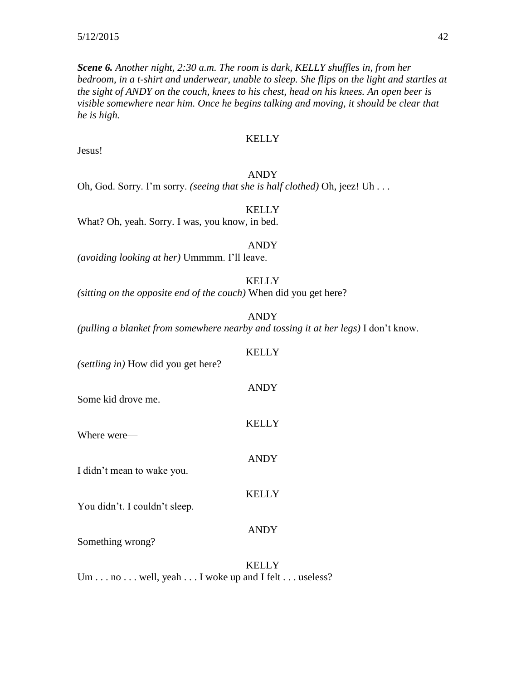*Scene 6. Another night, 2:30 a.m. The room is dark, KELLY shuffles in, from her bedroom, in a t-shirt and underwear, unable to sleep. She flips on the light and startles at the sight of ANDY on the couch, knees to his chest, head on his knees. An open beer is visible somewhere near him. Once he begins talking and moving, it should be clear that he is high.*

#### KELLY

Jesus!

#### ANDY

Oh, God. Sorry. I'm sorry. *(seeing that she is half clothed)* Oh, jeez! Uh . . .

#### **KELLY**

What? Oh, yeah. Sorry. I was, you know, in bed.

#### ANDY

*(avoiding looking at her)* Ummmm. I'll leave.

#### KELLY

*(sitting on the opposite end of the couch)* When did you get here?

ANDY

*(pulling a blanket from somewhere nearby and tossing it at her legs)* I don't know.

| (settling in) How did you get here? | KELLY        |
|-------------------------------------|--------------|
| Some kid drove me.                  | <b>ANDY</b>  |
| Where were—                         | <b>KELLY</b> |
| I didn't mean to wake you.          | <b>ANDY</b>  |
| You didn't. I couldn't sleep.       | <b>KELLY</b> |
| Something wrong?                    | <b>ANDY</b>  |

**KELLY** Um . . . no . . . well, yeah . . . I woke up and I felt . . . useless?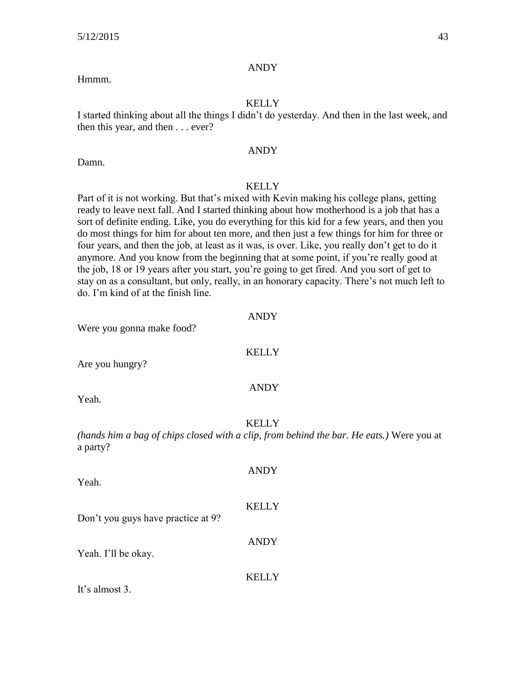#### ANDY

### Hmmm.

#### KELLY

I started thinking about all the things I didn't do yesterday. And then in the last week, and then this year, and then . . . ever?

#### ANDY

Damn.

### **KELLY**

Part of it is not working. But that's mixed with Kevin making his college plans, getting ready to leave next fall. And I started thinking about how motherhood is a job that has a sort of definite ending. Like, you do everything for this kid for a few years, and then you do most things for him for about ten more, and then just a few things for him for three or four years, and then the job, at least as it was, is over. Like, you really don't get to do it anymore. And you know from the beginning that at some point, if you're really good at the job, 18 or 19 years after you start, you're going to get fired. And you sort of get to stay on as a consultant, but only, really, in an honorary capacity. There's not much left to do. I'm kind of at the finish line.

| Were you gonna make food?          | <b>ANDY</b>                                                                                              |
|------------------------------------|----------------------------------------------------------------------------------------------------------|
| Are you hungry?                    | <b>KELLY</b>                                                                                             |
| Yeah.                              | <b>ANDY</b>                                                                                              |
| a party?                           | <b>KELLY</b><br>(hands him a bag of chips closed with a clip, from behind the bar. He eats.) Were you at |
| Yeah.                              | <b>ANDY</b>                                                                                              |
| Don't you guys have practice at 9? | <b>KELLY</b>                                                                                             |
| Yeah. I'll be okay.                | <b>ANDY</b>                                                                                              |
| It's almost 3.                     | <b>KELLY</b>                                                                                             |
|                                    |                                                                                                          |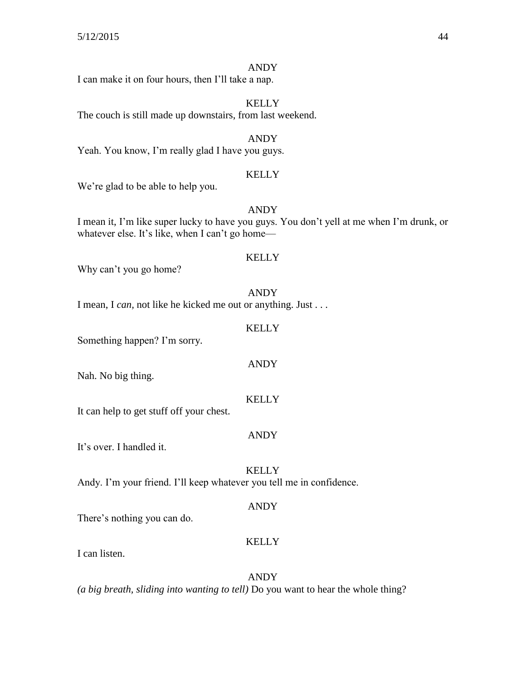#### ANDY

I can make it on four hours, then I'll take a nap.

**KELLY** The couch is still made up downstairs, from last weekend.

ANDY Yeah. You know, I'm really glad I have you guys.

#### KELLY

We're glad to be able to help you.

ANDY

I mean it, I'm like super lucky to have you guys. You don't yell at me when I'm drunk, or whatever else. It's like, when I can't go home—

#### **KELLY**

Why can't you go home?

ANDY

I mean, I *can,* not like he kicked me out or anything. Just . . .

#### **KELLY**

ANDY

Something happen? I'm sorry.

Nah. No big thing.

It can help to get stuff off your chest.

#### ANDY

KELLY

It's over. I handled it.

**KELLY** 

Andy. I'm your friend. I'll keep whatever you tell me in confidence.

#### ANDY

There's nothing you can do.

#### KELLY

I can listen.

#### ANDY

*(a big breath, sliding into wanting to tell)* Do you want to hear the whole thing?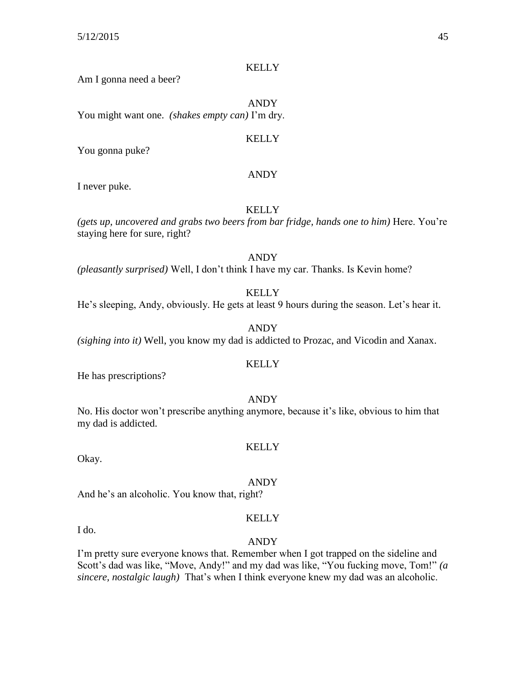Am I gonna need a beer?

ANDY You might want one. *(shakes empty can)* I'm dry.

#### **KELLY**

You gonna puke?

#### ANDY

I never puke.

#### **KELLY**

*(gets up, uncovered and grabs two beers from bar fridge, hands one to him)* Here. You're staying here for sure, right?

ANDY

*(pleasantly surprised)* Well, I don't think I have my car. Thanks. Is Kevin home?

**KELLY** 

He's sleeping, Andy, obviously. He gets at least 9 hours during the season. Let's hear it.

ANDY

*(sighing into it)* Well, you know my dad is addicted to Prozac, and Vicodin and Xanax.

#### KELLY

He has prescriptions?

#### ANDY

No. His doctor won't prescribe anything anymore, because it's like, obvious to him that my dad is addicted.

#### KELLY

Okay.

#### ANDY

And he's an alcoholic. You know that, right?

I do.

### KELLY

#### ANDY

I'm pretty sure everyone knows that. Remember when I got trapped on the sideline and Scott's dad was like, "Move, Andy!" and my dad was like, "You fucking move, Tom!" *(a sincere, nostalgic laugh)* That's when I think everyone knew my dad was an alcoholic.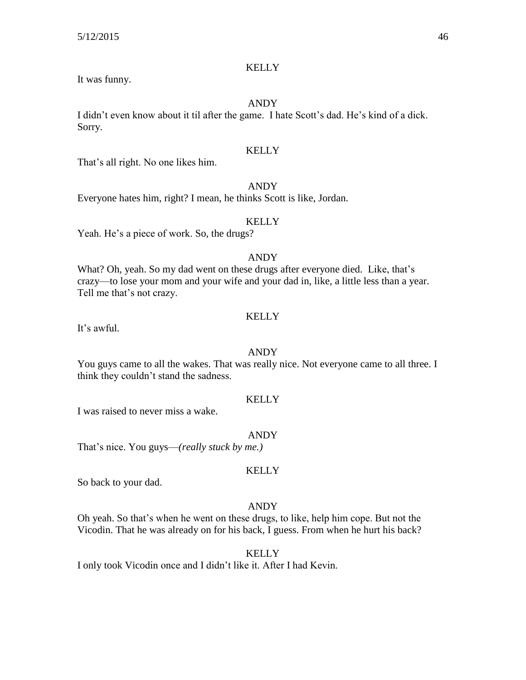#### It was funny.

#### ANDY

I didn't even know about it til after the game. I hate Scott's dad. He's kind of a dick. Sorry.

#### KELLY

That's all right. No one likes him.

#### ANDY

Everyone hates him, right? I mean, he thinks Scott is like, Jordan.

#### **KELLY**

Yeah. He's a piece of work. So, the drugs?

### ANDY

What? Oh, yeah. So my dad went on these drugs after everyone died. Like, that's crazy—to lose your mom and your wife and your dad in, like, a little less than a year. Tell me that's not crazy.

#### KELLY

It's awful.

#### ANDY

You guys came to all the wakes. That was really nice. Not everyone came to all three. I think they couldn't stand the sadness.

#### **KELLY**

I was raised to never miss a wake.

#### ANDY

That's nice. You guys—*(really stuck by me.)*

#### KELLY

So back to your dad.

#### ANDY

Oh yeah. So that's when he went on these drugs, to like, help him cope. But not the Vicodin. That he was already on for his back, I guess. From when he hurt his back?

#### **KELLY**

I only took Vicodin once and I didn't like it. After I had Kevin.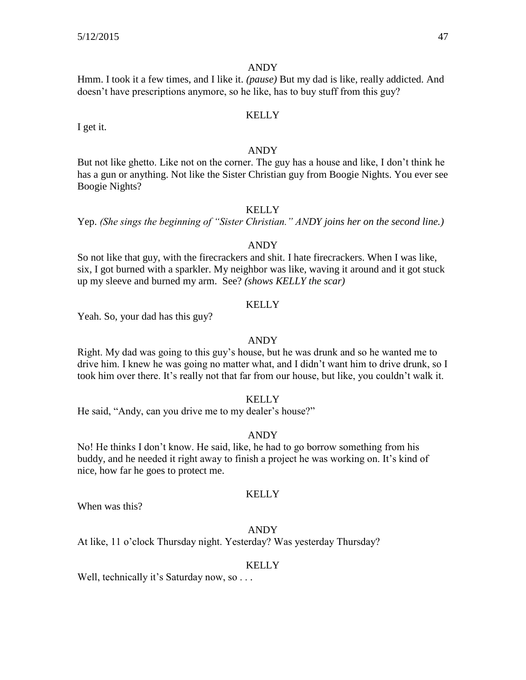#### ANDY

Hmm. I took it a few times, and I like it. *(pause)* But my dad is like, really addicted. And doesn't have prescriptions anymore, so he like, has to buy stuff from this guy?

#### **KELLY**

I get it.

#### ANDY

But not like ghetto. Like not on the corner. The guy has a house and like, I don't think he has a gun or anything. Not like the Sister Christian guy from Boogie Nights. You ever see Boogie Nights?

#### **KELLY**

Yep. *(She sings the beginning of "Sister Christian." ANDY joins her on the second line.)*

#### ANDY

So not like that guy, with the firecrackers and shit. I hate firecrackers. When I was like, six, I got burned with a sparkler. My neighbor was like, waving it around and it got stuck up my sleeve and burned my arm. See? *(shows KELLY the scar)*

#### **KELLY**

Yeah. So, your dad has this guy?

#### ANDY

Right. My dad was going to this guy's house, but he was drunk and so he wanted me to drive him. I knew he was going no matter what, and I didn't want him to drive drunk, so I took him over there. It's really not that far from our house, but like, you couldn't walk it.

#### **KELLY**

He said, "Andy, can you drive me to my dealer's house?"

#### ANDY

No! He thinks I don't know. He said, like, he had to go borrow something from his buddy, and he needed it right away to finish a project he was working on. It's kind of nice, how far he goes to protect me.

#### KELLY

When was this?

#### ANDY

At like, 11 o'clock Thursday night. Yesterday? Was yesterday Thursday?

#### **KELLY**

Well, technically it's Saturday now, so . . .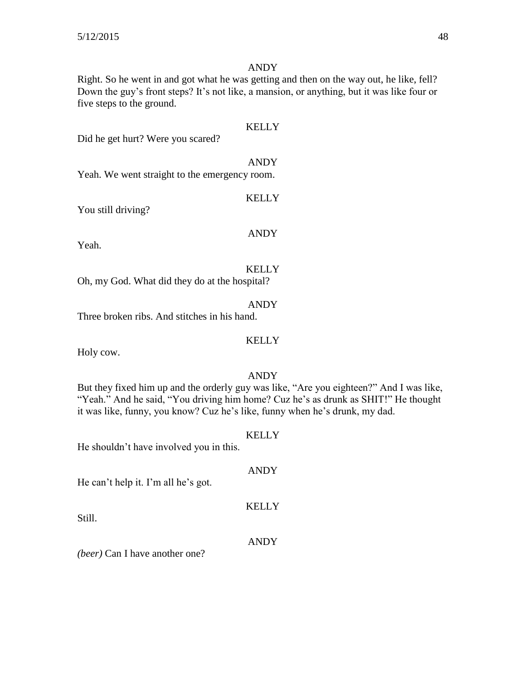#### ANDY

Right. So he went in and got what he was getting and then on the way out, he like, fell? Down the guy's front steps? It's not like, a mansion, or anything, but it was like four or five steps to the ground.

| Did he get hurt? Were you scared?             | <b>KELLY</b> |
|-----------------------------------------------|--------------|
| Yeah. We went straight to the emergency room. | <b>ANDY</b>  |
| You still driving?                            | <b>KELLY</b> |
| Yeah.                                         | <b>ANDY</b>  |
|                                               |              |

Oh, my God. What did they do at the hospital?

ANDY Three broken ribs. And stitches in his hand.

#### KELLY

Holy cow.

#### ANDY

But they fixed him up and the orderly guy was like, "Are you eighteen?" And I was like, "Yeah." And he said, "You driving him home? Cuz he's as drunk as SHIT!" He thought it was like, funny, you know? Cuz he's like, funny when he's drunk, my dad.

#### **KELLY**

He shouldn't have involved you in this.

#### ANDY

He can't help it. I'm all he's got.

Still.

#### ANDY

KELLY

*(beer)* Can I have another one?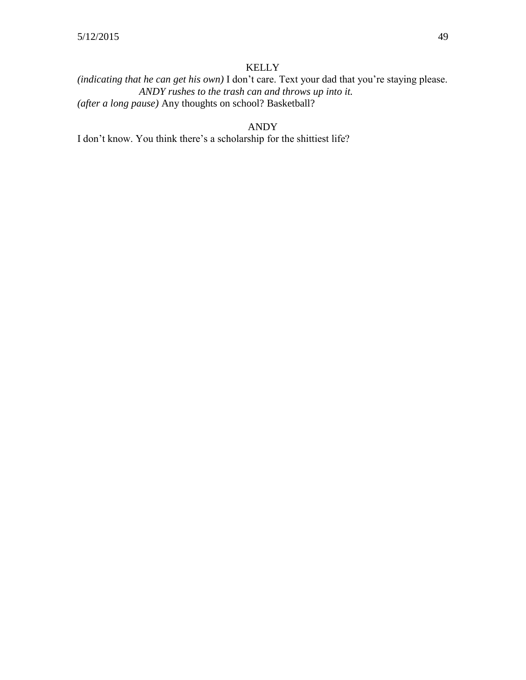*(indicating that he can get his own)* I don't care. Text your dad that you're staying please. *ANDY rushes to the trash can and throws up into it. (after a long pause)* Any thoughts on school? Basketball?

### ANDY

I don't know. You think there's a scholarship for the shittiest life?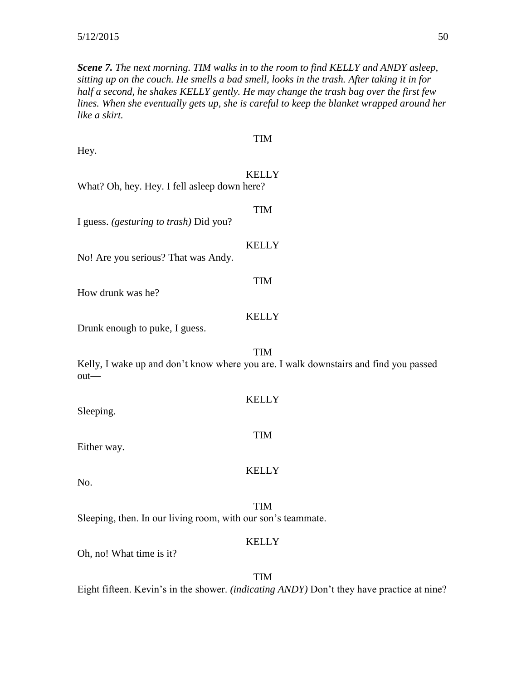*Scene 7. The next morning. TIM walks in to the room to find KELLY and ANDY asleep, sitting up on the couch. He smells a bad smell, looks in the trash. After taking it in for half a second, he shakes KELLY gently. He may change the trash bag over the first few lines. When she eventually gets up, she is careful to keep the blanket wrapped around her like a skirt.*

| <b>TIM</b><br>Hey.                                                                                  |  |  |
|-----------------------------------------------------------------------------------------------------|--|--|
| <b>KELLY</b><br>What? Oh, hey. Hey. I fell asleep down here?                                        |  |  |
| <b>TIM</b><br>I guess. (gesturing to trash) Did you?                                                |  |  |
| <b>KELLY</b><br>No! Are you serious? That was Andy.                                                 |  |  |
| <b>TIM</b><br>How drunk was he?                                                                     |  |  |
| <b>KELLY</b><br>Drunk enough to puke, I guess.                                                      |  |  |
| TIM<br>Kelly, I wake up and don't know where you are. I walk downstairs and find you passed<br>out- |  |  |
| <b>KELLY</b><br>Sleeping.                                                                           |  |  |
| <b>TIM</b><br>Either way.                                                                           |  |  |
| <b>KELLY</b><br>No.                                                                                 |  |  |
| <b>TIM</b><br>Sleeping, then. In our living room, with our son's teammate.                          |  |  |
| <b>KELLY</b><br>Oh, no! What time is it?                                                            |  |  |

TIM Eight fifteen. Kevin's in the shower. *(indicating ANDY)* Don't they have practice at nine?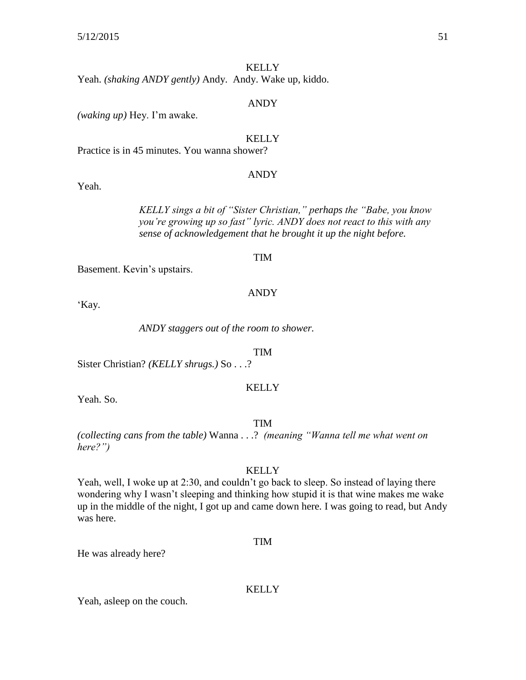Yeah. *(shaking ANDY gently)* Andy. Andy. Wake up, kiddo.

#### ANDY

*(waking up)* Hey. I'm awake.

#### **KELLY**

Practice is in 45 minutes. You wanna shower?

#### ANDY

Yeah.

*KELLY sings a bit of "Sister Christian," perhaps the "Babe, you know you're growing up so fast" lyric. ANDY does not react to this with any sense of acknowledgement that he brought it up the night before.* 

#### TIM

Basement. Kevin's upstairs.

#### ANDY

'Kay.

*ANDY staggers out of the room to shower.*

#### TIM

Sister Christian? *(KELLY shrugs.)* So . . .?

#### **KELLY**

Yeah. So.

#### TIM

*(collecting cans from the table)* Wanna . . .? *(meaning "Wanna tell me what went on here?")*

#### **KELLY**

Yeah, well, I woke up at 2:30, and couldn't go back to sleep. So instead of laying there wondering why I wasn't sleeping and thinking how stupid it is that wine makes me wake up in the middle of the night, I got up and came down here. I was going to read, but Andy was here.

#### TIM

He was already here?

#### **KELLY**

Yeah, asleep on the couch.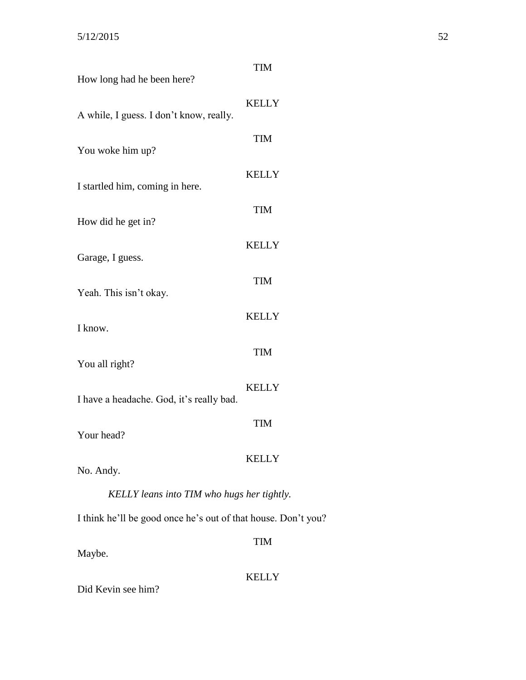| How long had he been here?                                    | <b>TIM</b>   |
|---------------------------------------------------------------|--------------|
| A while, I guess. I don't know, really.                       | <b>KELLY</b> |
| You woke him up?                                              | <b>TIM</b>   |
| I startled him, coming in here.                               | <b>KELLY</b> |
|                                                               | <b>TIM</b>   |
| How did he get in?                                            | <b>KELLY</b> |
| Garage, I guess.                                              | <b>TIM</b>   |
| Yeah. This isn't okay.                                        | <b>KELLY</b> |
| I know.                                                       |              |
| You all right?                                                | <b>TIM</b>   |
| I have a headache. God, it's really bad.                      | <b>KELLY</b> |
| Your head?                                                    | <b>TIM</b>   |
| No. Andy.                                                     | <b>KELLY</b> |
| KELLY leans into TIM who hugs her tightly.                    |              |
| I think he'll be good once he's out of that house. Don't you? |              |
| Maybe.                                                        | <b>TIM</b>   |
| Did Kevin see him?                                            | <b>KELLY</b> |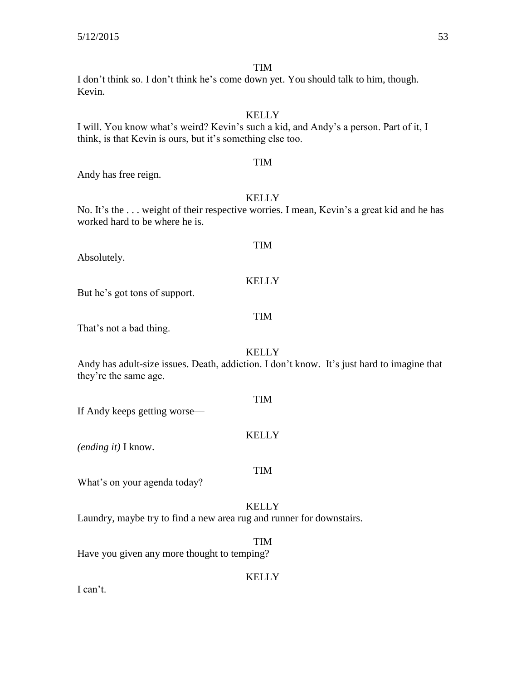I don't think so. I don't think he's come down yet. You should talk to him, though. Kevin.

#### **KELLY**

TIM

I will. You know what's weird? Kevin's such a kid, and Andy's a person. Part of it, I think, is that Kevin is ours, but it's something else too.

Andy has free reign.

#### **KELLY**

No. It's the ... weight of their respective worries. I mean, Kevin's a great kid and he has worked hard to be where he is.

Absolutely.

But he's got tons of support.

#### TIM

That's not a bad thing.

### **KELLY**

Andy has adult-size issues. Death, addiction. I don't know. It's just hard to imagine that they're the same age.

If Andy keeps getting worse—

#### **KELLY**

TIM

TIM

*(ending it)* I know.

### What's on your agenda today?

#### **KELLY**

Laundry, maybe try to find a new area rug and runner for downstairs.

#### TIM

Have you given any more thought to temping?

#### **KELLY**

I can't.

### TIM

TIM

KELLY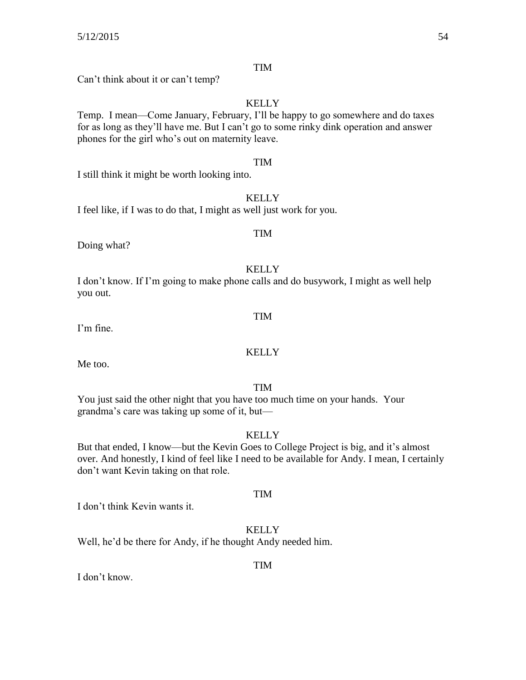Can't think about it or can't temp?

### **KELLY**

Temp. I mean—Come January, February, I'll be happy to go somewhere and do taxes for as long as they'll have me. But I can't go to some rinky dink operation and answer phones for the girl who's out on maternity leave.

#### TIM

I still think it might be worth looking into.

#### **KELLY**

I feel like, if I was to do that, I might as well just work for you.

# Doing what?

#### KELLY

I don't know. If I'm going to make phone calls and do busywork, I might as well help you out.

I'm fine.

#### **KELLY**

Me too.

#### TIM

You just said the other night that you have too much time on your hands. Your grandma's care was taking up some of it, but—

#### **KELLY**

But that ended, I know—but the Kevin Goes to College Project is big, and it's almost over. And honestly, I kind of feel like I need to be available for Andy. I mean, I certainly don't want Kevin taking on that role.

#### TIM

I don't think Kevin wants it.

### **KELLY**

Well, he'd be there for Andy, if he thought Andy needed him.

#### TIM

I don't know.

TIM

TIM

TIM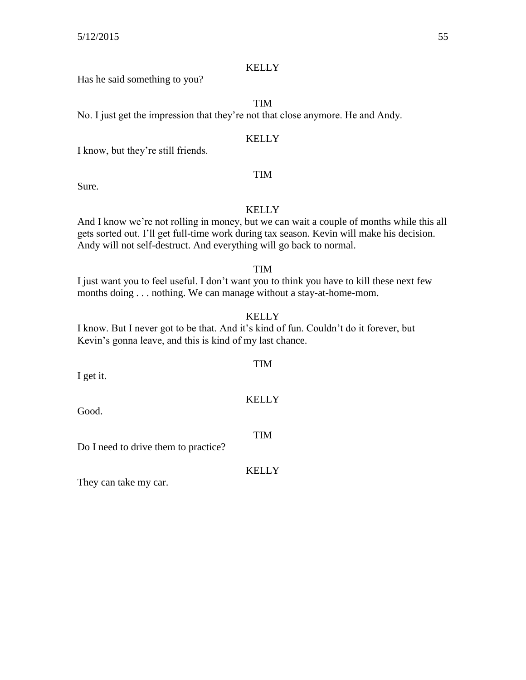Has he said something to you?

TIM

No. I just get the impression that they're not that close anymore. He and Andy.

#### **KELLY**

TIM

I know, but they're still friends.

Sure.

#### **KELLY**

And I know we're not rolling in money, but we can wait a couple of months while this all gets sorted out. I'll get full-time work during tax season. Kevin will make his decision. Andy will not self-destruct. And everything will go back to normal.

#### TIM

I just want you to feel useful. I don't want you to think you have to kill these next few months doing . . . nothing. We can manage without a stay-at-home-mom.

KELLY

I know. But I never got to be that. And it's kind of fun. Couldn't do it forever, but Kevin's gonna leave, and this is kind of my last chance.

I get it.

Good.

Do I need to drive them to practice?

They can take my car.

### KELLY

TIM

TIM

## **KELLY**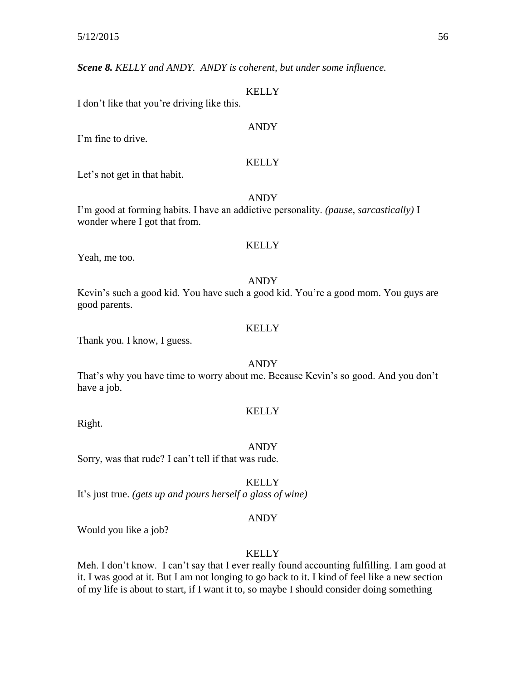*Scene 8. KELLY and ANDY. ANDY is coherent, but under some influence.*

#### **KELLY**

I don't like that you're driving like this.

#### ANDY

I'm fine to drive.

#### **KELLY**

Let's not get in that habit.

#### ANDY

I'm good at forming habits. I have an addictive personality. *(pause, sarcastically)* I wonder where I got that from.

#### **KELLY**

Yeah, me too.

#### ANDY

Kevin's such a good kid. You have such a good kid. You're a good mom. You guys are good parents.

#### **KELLY**

Thank you. I know, I guess.

#### ANDY

That's why you have time to worry about me. Because Kevin's so good. And you don't have a job.

#### KELLY

Right.

#### ANDY

Sorry, was that rude? I can't tell if that was rude.

**KELLY** 

It's just true. *(gets up and pours herself a glass of wine)*

#### ANDY

Would you like a job?

#### **KELLY**

Meh. I don't know. I can't say that I ever really found accounting fulfilling. I am good at it. I was good at it. But I am not longing to go back to it. I kind of feel like a new section of my life is about to start, if I want it to, so maybe I should consider doing something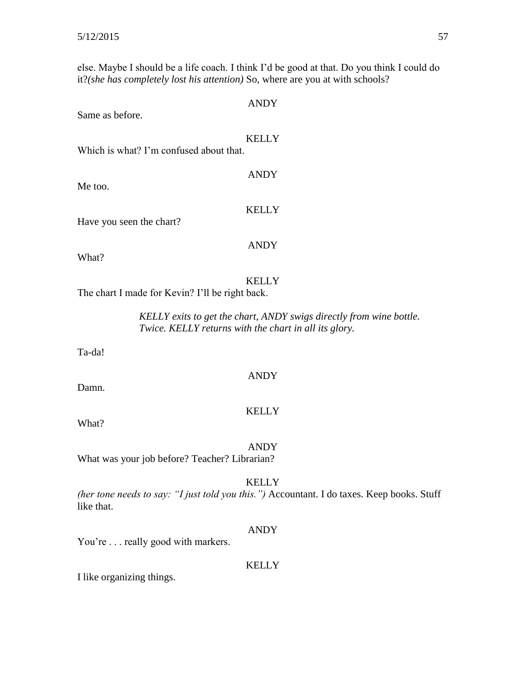else. Maybe I should be a life coach. I think I'd be good at that. Do you think I could do it?*(she has completely lost his attention)* So, where are you at with schools?

| Same as before.                                                                                                              | <b>ANDY</b>  |
|------------------------------------------------------------------------------------------------------------------------------|--------------|
| Which is what? I'm confused about that.                                                                                      | <b>KELLY</b> |
| Me too.                                                                                                                      | <b>ANDY</b>  |
| Have you seen the chart?                                                                                                     | <b>KELLY</b> |
| What?                                                                                                                        | <b>ANDY</b>  |
| The chart I made for Kevin? I'll be right back.                                                                              | <b>KELLY</b> |
| KELLY exits to get the chart, ANDY swigs directly from wine bottle.<br>Twice. KELLY returns with the chart in all its glory. |              |
| Ta-da!                                                                                                                       |              |
| Damn.                                                                                                                        | <b>ANDY</b>  |
| What?                                                                                                                        | <b>KELLY</b> |
|                                                                                                                              | <b>ANDY</b>  |

What was your job before? Teacher? Librarian?

KELLY

*(her tone needs to say: "I just told you this.")* Accountant. I do taxes. Keep books. Stuff like that.

### ANDY

You're . . . really good with markers.

#### KELLY

I like organizing things.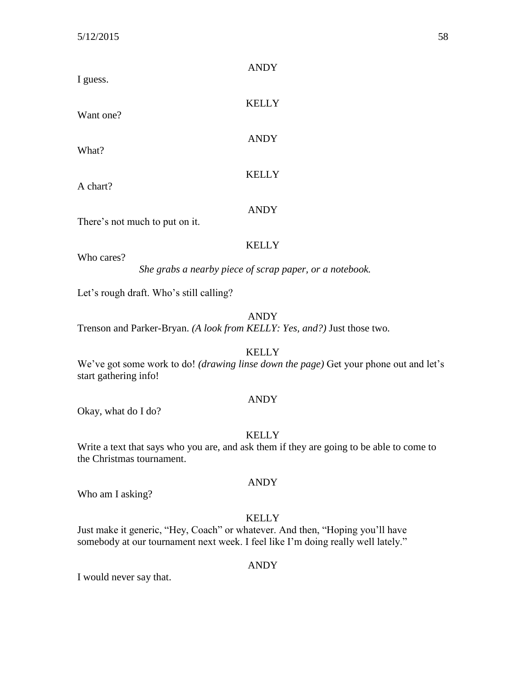| I guess.                       | <b>ANDY</b>  |
|--------------------------------|--------------|
| Want one?                      | <b>KELLY</b> |
| What?                          | <b>ANDY</b>  |
| A chart?                       | <b>KELLY</b> |
| There's not much to put on it. | <b>ANDY</b>  |
| Who cares?                     | <b>KELLY</b> |
|                                |              |

*She grabs a nearby piece of scrap paper, or a notebook.*

Let's rough draft. Who's still calling?

#### ANDY

Trenson and Parker-Bryan. *(A look from KELLY: Yes, and?)* Just those two.

**KELLY** 

We've got some work to do! *(drawing linse down the page)* Get your phone out and let's start gathering info!

#### ANDY

Okay, what do I do?

#### KELLY

Write a text that says who you are, and ask them if they are going to be able to come to the Christmas tournament.

#### ANDY

Who am I asking?

### KELLY

Just make it generic, "Hey, Coach" or whatever. And then, "Hoping you'll have somebody at our tournament next week. I feel like I'm doing really well lately."

#### ANDY

I would never say that.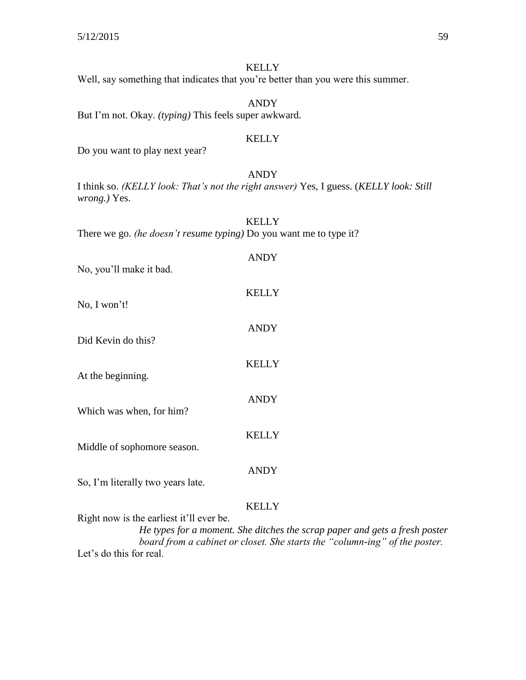| <b>KELLY</b><br>Well, say something that indicates that you're better than you were this summer.                                                                                                                     |
|----------------------------------------------------------------------------------------------------------------------------------------------------------------------------------------------------------------------|
| <b>ANDY</b>                                                                                                                                                                                                          |
| But I'm not. Okay. (typing) This feels super awkward.                                                                                                                                                                |
| <b>KELLY</b><br>Do you want to play next year?                                                                                                                                                                       |
| <b>ANDY</b><br>I think so. (KELLY look: That's not the right answer) Yes, I guess. (KELLY look: Still<br><i>wrong.</i> ) Yes.                                                                                        |
| <b>KELLY</b><br>There we go. (he doesn't resume typing) Do you want me to type it?                                                                                                                                   |
| <b>ANDY</b><br>No, you'll make it bad.                                                                                                                                                                               |
| <b>KELLY</b><br>No, I won't!                                                                                                                                                                                         |
| <b>ANDY</b><br>Did Kevin do this?                                                                                                                                                                                    |
| <b>KELLY</b><br>At the beginning.                                                                                                                                                                                    |
| <b>ANDY</b><br>Which was when, for him?                                                                                                                                                                              |
| <b>KELLY</b><br>Middle of sophomore season.                                                                                                                                                                          |
| <b>ANDY</b><br>So, I'm literally two years late.                                                                                                                                                                     |
| <b>KELLY</b><br>Right now is the earliest it'll ever be.<br>He types for a moment. She ditches the scrap paper and gets a fresh poster<br>board from a cabinet or closet. She starts the "column-ing" of the poster. |

Let's do this for real.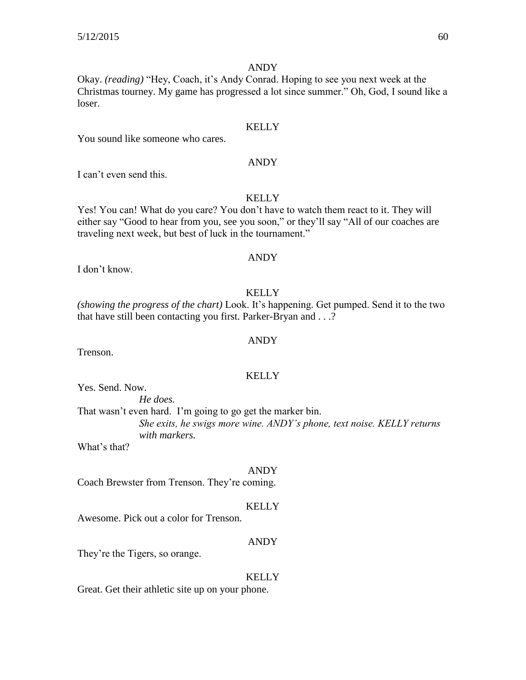#### ANDY

Okay. *(reading)* "Hey, Coach, it's Andy Conrad. Hoping to see you next week at the Christmas tourney. My game has progressed a lot since summer." Oh, God, I sound like a loser.

#### **KELLY**

You sound like someone who cares.

#### ANDY

I can't even send this.

#### KELLY

Yes! You can! What do you care? You don't have to watch them react to it. They will either say "Good to hear from you, see you soon," or they'll say "All of our coaches are traveling next week, but best of luck in the tournament."

#### ANDY

I don't know.

#### KELLY

*(showing the progress of the chart)* Look. It's happening. Get pumped. Send it to the two that have still been contacting you first. Parker-Bryan and . . .?

#### ANDY

Trenson.

#### **KELLY**

Yes. Send. Now.

*He does.*

That wasn't even hard. I'm going to go get the marker bin. *She exits, he swigs more wine. ANDY's phone, text noise. KELLY returns with markers.*

What's that?

#### ANDY

Coach Brewster from Trenson. They're coming.

#### **KELLY**

Awesome. Pick out a color for Trenson.

#### ANDY

They're the Tigers, so orange.

#### **KELLY**

Great. Get their athletic site up on your phone.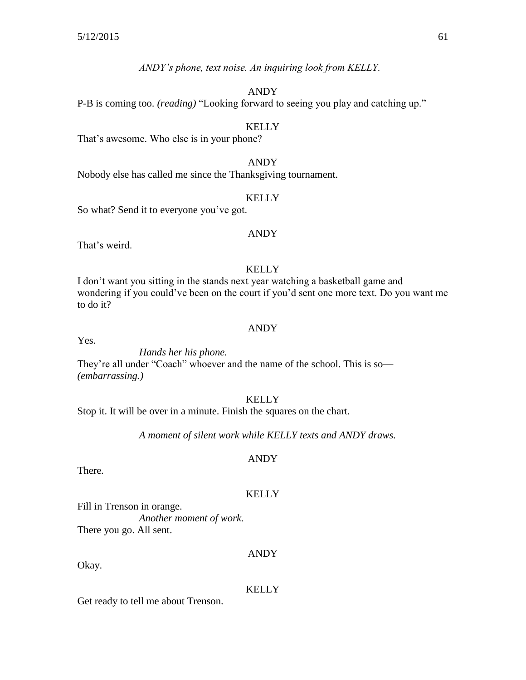*ANDY's phone, text noise. An inquiring look from KELLY.*

#### ANDY

P-B is coming too. *(reading)* "Looking forward to seeing you play and catching up."

#### **KELLY**

That's awesome. Who else is in your phone?

#### ANDY

Nobody else has called me since the Thanksgiving tournament.

#### **KELLY**

So what? Send it to everyone you've got.

#### ANDY

That's weird.

### **KELLY**

I don't want you sitting in the stands next year watching a basketball game and wondering if you could've been on the court if you'd sent one more text. Do you want me to do it?

#### ANDY

Yes.

*Hands her his phone.* They're all under "Coach" whoever and the name of the school. This is so— *(embarrassing.)*

#### **KELLY**

Stop it. It will be over in a minute. Finish the squares on the chart.

*A moment of silent work while KELLY texts and ANDY draws.*

### ANDY

There.

### **KELLY**

Fill in Trenson in orange. *Another moment of work.* There you go. All sent.

Okay.

### **KELLY**

ANDY

Get ready to tell me about Trenson.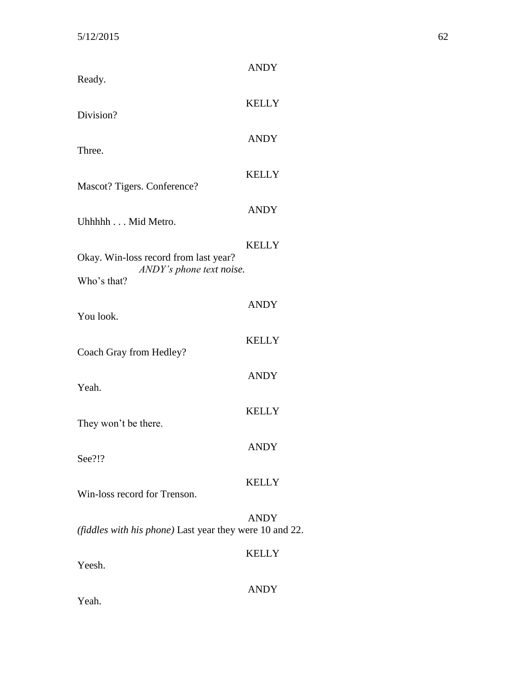| Ready.                                                            | <b>ANDY</b>  |
|-------------------------------------------------------------------|--------------|
| Division?                                                         | <b>KELLY</b> |
|                                                                   | <b>ANDY</b>  |
| Three.                                                            | <b>KELLY</b> |
| Mascot? Tigers. Conference?                                       | <b>ANDY</b>  |
| Uhhhhh Mid Metro.                                                 |              |
| Okay. Win-loss record from last year?<br>ANDY's phone text noise. | <b>KELLY</b> |
| Who's that?                                                       |              |
| You look.                                                         | <b>ANDY</b>  |
| Coach Gray from Hedley?                                           | <b>KELLY</b> |
| Yeah.                                                             | <b>ANDY</b>  |
| They won't be there.                                              | <b>KELLY</b> |
| See?!?                                                            | <b>ANDY</b>  |
| Win-loss record for Trenson.                                      | <b>KELLY</b> |
| (fiddles with his phone) Last year they were 10 and 22.           | <b>ANDY</b>  |
| Yeesh.                                                            | <b>KELLY</b> |
| Yeah.                                                             | <b>ANDY</b>  |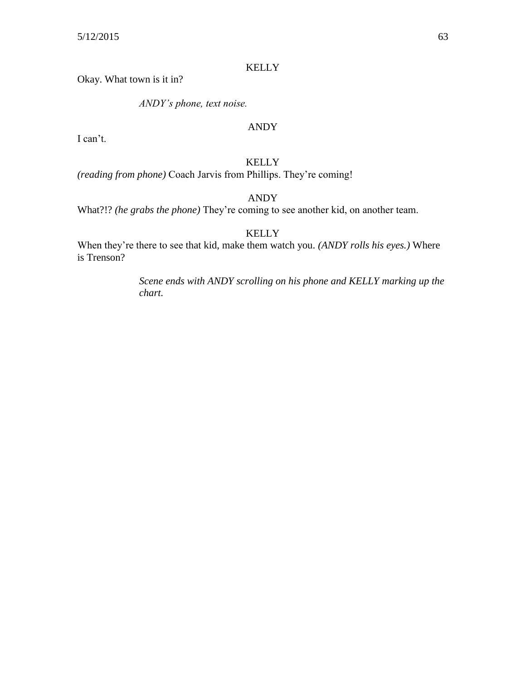Okay. What town is it in?

*ANDY's phone, text noise.*

#### ANDY

I can't.

#### KELLY

*(reading from phone)* Coach Jarvis from Phillips. They're coming!

ANDY

What?!? *(he grabs the phone)* They're coming to see another kid, on another team.

KELLY

When they're there to see that kid, make them watch you. *(ANDY rolls his eyes.)* Where is Trenson?

> *Scene ends with ANDY scrolling on his phone and KELLY marking up the chart.*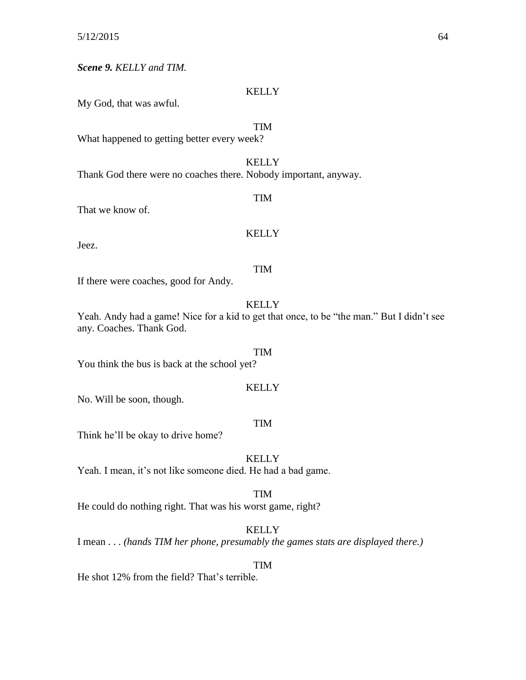*Scene 9. KELLY and TIM.*

#### KELLY

My God, that was awful.

### TIM

What happened to getting better every week?

#### **KELLY**

TIM

Thank God there were no coaches there. Nobody important, anyway.

That we know of.

#### **KELLY**

Jeez.

#### TIM

If there were coaches, good for Andy.

#### **KELLY**

Yeah. Andy had a game! Nice for a kid to get that once, to be "the man." But I didn't see any. Coaches. Thank God.

TIM You think the bus is back at the school yet?

#### **KELLY**

No. Will be soon, though.

#### TIM

Think he'll be okay to drive home?

#### **KELLY**

Yeah. I mean, it's not like someone died. He had a bad game.

TIM

He could do nothing right. That was his worst game, right?

### **KELLY**

I mean . . . *(hands TIM her phone, presumably the games stats are displayed there.)*

#### TIM

He shot 12% from the field? That's terrible.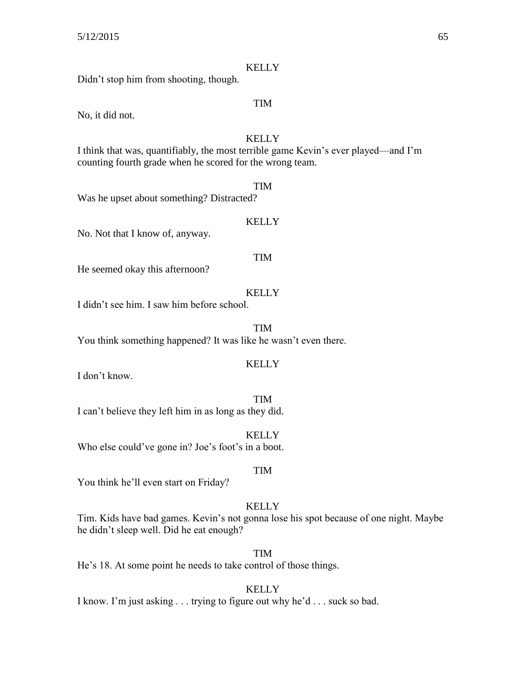Didn't stop him from shooting, though.

#### TIM

**KELLY** 

No, it did not.

#### **KELLY**

I think that was, quantifiably, the most terrible game Kevin's ever played—and I'm counting fourth grade when he scored for the wrong team.

#### TIM

Was he upset about something? Distracted?

#### **KELLY**

No. Not that I know of, anyway.

#### TIM

He seemed okay this afternoon?

#### **KELLY**

I didn't see him. I saw him before school.

TIM

You think something happened? It was like he wasn't even there.

#### KELLY

I don't know.

TIM I can't believe they left him in as long as they did.

**KELLY** Who else could've gone in? Joe's foot's in a boot.

#### TIM

You think he'll even start on Friday?

#### **KELLY**

Tim. Kids have bad games. Kevin's not gonna lose his spot because of one night. Maybe he didn't sleep well. Did he eat enough?

TIM

He's 18. At some point he needs to take control of those things.

#### **KELLY**

I know. I'm just asking . . . trying to figure out why he'd . . . suck so bad.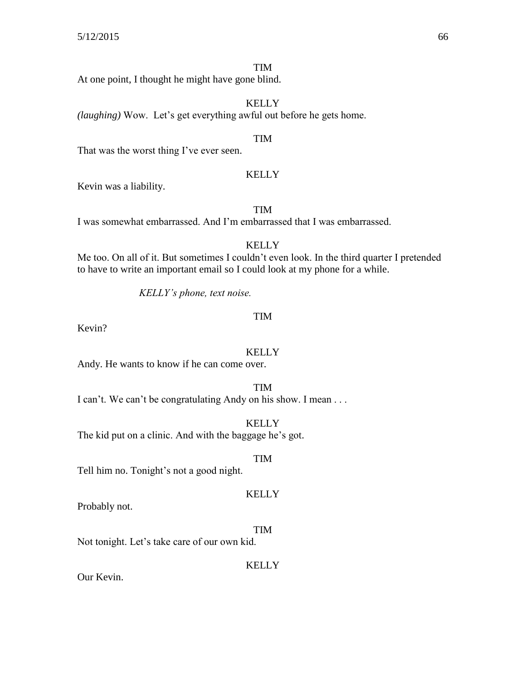#### TIM

At one point, I thought he might have gone blind.

**KELLY** 

*(laughing)* Wow. Let's get everything awful out before he gets home.

#### TIM

That was the worst thing I've ever seen.

#### KELLY

Kevin was a liability.

TIM

I was somewhat embarrassed. And I'm embarrassed that I was embarrassed.

#### **KELLY**

Me too. On all of it. But sometimes I couldn't even look. In the third quarter I pretended to have to write an important email so I could look at my phone for a while.

*KELLY's phone, text noise.*

#### TIM

Kevin?

#### **KELLY**

Andy. He wants to know if he can come over.

#### TIM

I can't. We can't be congratulating Andy on his show. I mean . . .

#### **KELLY**

The kid put on a clinic. And with the baggage he's got.

#### TIM

**KELLY** 

Tell him no. Tonight's not a good night.

### Probably not.

#### TIM

Not tonight. Let's take care of our own kid.

#### **KELLY**

Our Kevin.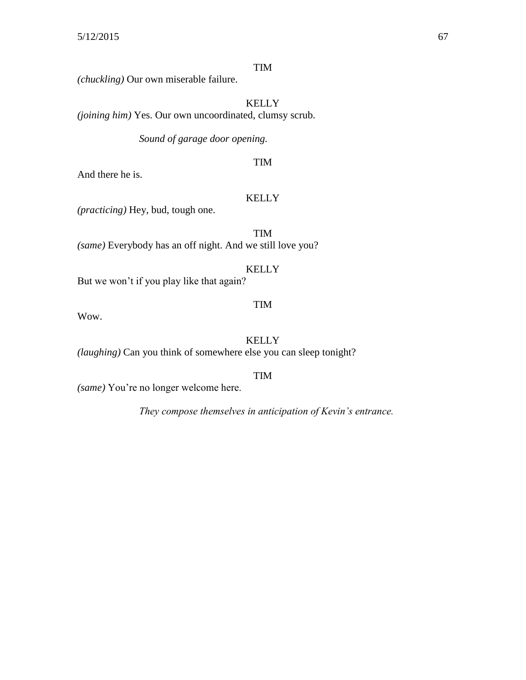### TIM

*(chuckling)* Our own miserable failure.

KELLY *(joining him)* Yes. Our own uncoordinated, clumsy scrub.

*Sound of garage door opening.*

And there he is.

#### KELLY

TIM

*(practicing)* Hey, bud, tough one.

TIM *(same)* Everybody has an off night. And we still love you?

#### KELLY

But we won't if you play like that again?

#### TIM

Wow.

### KELLY

*(laughing)* Can you think of somewhere else you can sleep tonight?

#### TIM

*(same)* You're no longer welcome here.

*They compose themselves in anticipation of Kevin's entrance.*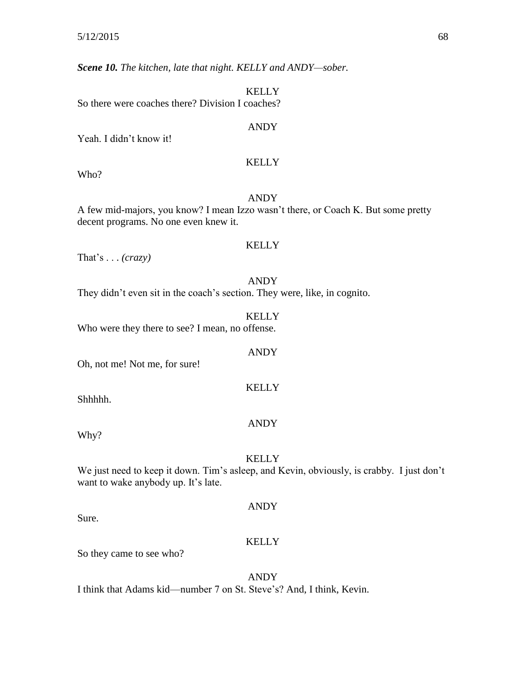*Scene 10. The kitchen, late that night. KELLY and ANDY—sober.*

**KELLY** So there were coaches there? Division I coaches?

#### ANDY

Yeah. I didn't know it!

#### **KELLY**

Who?

#### ANDY

A few mid-majors, you know? I mean Izzo wasn't there, or Coach K. But some pretty decent programs. No one even knew it.

#### **KELLY**

ANDY

**KELLY** 

ANDY

That's . . . *(crazy)*

ANDY They didn't even sit in the coach's section. They were, like, in cognito.

**KELLY** Who were they there to see? I mean, no offense.

Oh, not me! Not me, for sure!

Shhhhh.

Why?

#### **KELLY**

We just need to keep it down. Tim's asleep, and Kevin, obviously, is crabby. I just don't want to wake anybody up. It's late.

Sure.

# ANDY

#### KELLY

So they came to see who?

#### ANDY

I think that Adams kid—number 7 on St. Steve's? And, I think, Kevin.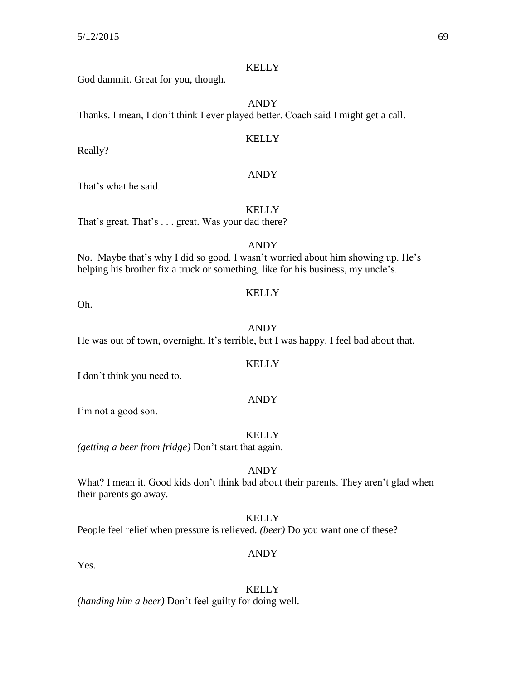God dammit. Great for you, though.

ANDY

Thanks. I mean, I don't think I ever played better. Coach said I might get a call.

#### KELLY

Really?

#### ANDY

That's what he said.

#### **KELLY**

That's great. That's . . . great. Was your dad there?

#### ANDY

No. Maybe that's why I did so good. I wasn't worried about him showing up. He's helping his brother fix a truck or something, like for his business, my uncle's.

Oh.

# ANDY

**KELLY** 

He was out of town, overnight. It's terrible, but I was happy. I feel bad about that.

#### KELLY

I don't think you need to.

#### ANDY

I'm not a good son.

#### **KELLY**

*(getting a beer from fridge)* Don't start that again.

#### ANDY

What? I mean it. Good kids don't think bad about their parents. They aren't glad when their parents go away.

#### KELLY

People feel relief when pressure is relieved. *(beer)* Do you want one of these?

#### ANDY

Yes.

#### **KELLY**

*(handing him a beer)* Don't feel guilty for doing well.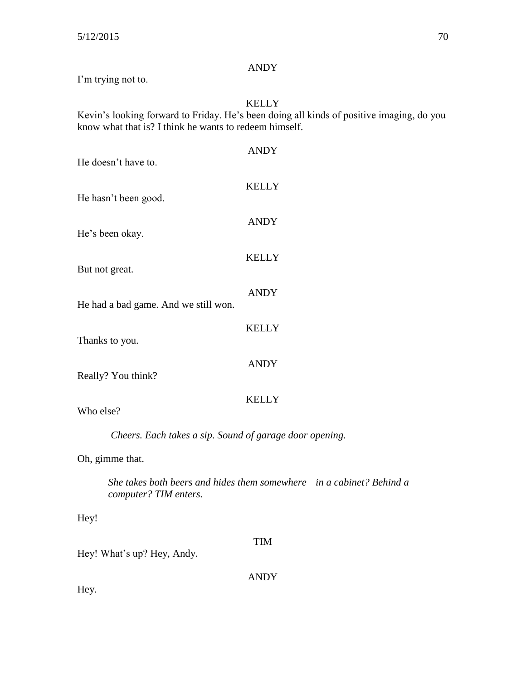### ANDY

I'm trying not to.

### KELLY

Kevin's looking forward to Friday. He's been doing all kinds of positive imaging, do you know what that is? I think he wants to redeem himself.

| He doesn't have to.                                                  | <b>ANDY</b>  |
|----------------------------------------------------------------------|--------------|
| He hasn't been good.                                                 | <b>KELLY</b> |
| He's been okay.                                                      | <b>ANDY</b>  |
| But not great.                                                       | <b>KELLY</b> |
| He had a bad game. And we still won.                                 | <b>ANDY</b>  |
| Thanks to you.                                                       | <b>KELLY</b> |
| Really? You think?                                                   | <b>ANDY</b>  |
| Who else?                                                            | <b>KELLY</b> |
| Cheers. Each takes a sip. Sound of garage door opening.              |              |
| Oh, gimme that.                                                      |              |
| She takes both beers and hides them somewhere—in a cabinet? Behind a |              |

*computer? TIM enters.*

Hey!

Hey! What's up? Hey, Andy.

ANDY

TIM

Hey.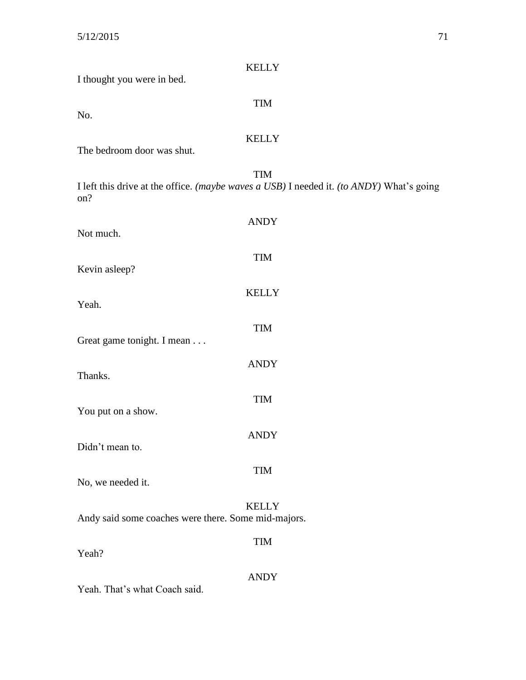| <b>KELLY</b><br>I thought you were in bed.                                                                    |
|---------------------------------------------------------------------------------------------------------------|
| <b>TIM</b><br>No.                                                                                             |
| <b>KELLY</b><br>The bedroom door was shut.                                                                    |
| <b>TIM</b><br>I left this drive at the office. (maybe waves a USB) I needed it. (to ANDY) What's going<br>on? |
| <b>ANDY</b><br>Not much.                                                                                      |
| <b>TIM</b><br>Kevin asleep?                                                                                   |
| <b>KELLY</b><br>Yeah.                                                                                         |
| <b>TIM</b><br>Great game tonight. I mean                                                                      |
| <b>ANDY</b><br>Thanks.                                                                                        |
| <b>TIM</b><br>You put on a show.                                                                              |
| <b>ANDY</b><br>Didn't mean to.                                                                                |
| <b>TIM</b><br>No, we needed it.                                                                               |
| <b>KELLY</b><br>Andy said some coaches were there. Some mid-majors.                                           |
| TIM<br>Yeah?                                                                                                  |
| <b>ANDY</b><br>Yeah. That's what Coach said.                                                                  |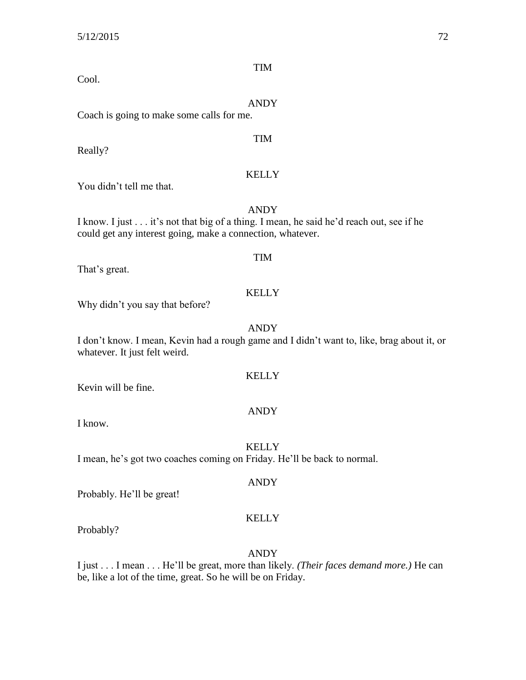Cool.

|                                           | ANDY       |
|-------------------------------------------|------------|
| Coach is going to make some calls for me. |            |
| Really?                                   | <b>TIM</b> |

#### You didn't tell me that.

ANDY I know. I just . . . it's not that big of a thing. I mean, he said he'd reach out, see if he could get any interest going, make a connection, whatever.

That's great.

#### KELLY

TIM

Why didn't you say that before?

#### ANDY

I don't know. I mean, Kevin had a rough game and I didn't want to, like, brag about it, or whatever. It just felt weird.

#### KELLY

Kevin will be fine.

### ANDY

I know.

**KELLY** 

I mean, he's got two coaches coming on Friday. He'll be back to normal.

Probably. He'll be great!

#### KELLY

ANDY

Probably?

ANDY

I just . . . I mean . . . He'll be great, more than likely. *(Their faces demand more.)* He can be, like a lot of the time, great. So he will be on Friday.

### TIM

KELLY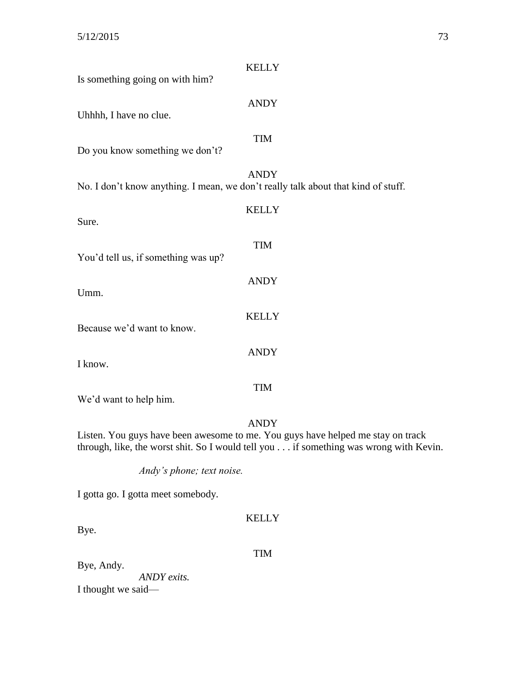| <b>KELLY</b>                                                                                                                                                             |  |
|--------------------------------------------------------------------------------------------------------------------------------------------------------------------------|--|
| Is something going on with him?                                                                                                                                          |  |
| <b>ANDY</b>                                                                                                                                                              |  |
| Uhhhh, I have no clue.                                                                                                                                                   |  |
| <b>TIM</b>                                                                                                                                                               |  |
| Do you know something we don't?                                                                                                                                          |  |
|                                                                                                                                                                          |  |
| <b>ANDY</b><br>No. I don't know anything. I mean, we don't really talk about that kind of stuff.                                                                         |  |
| <b>KELLY</b>                                                                                                                                                             |  |
| Sure.                                                                                                                                                                    |  |
| <b>TIM</b>                                                                                                                                                               |  |
| You'd tell us, if something was up?                                                                                                                                      |  |
|                                                                                                                                                                          |  |
| <b>ANDY</b><br>Umm.                                                                                                                                                      |  |
|                                                                                                                                                                          |  |
| <b>KELLY</b><br>Because we'd want to know.                                                                                                                               |  |
|                                                                                                                                                                          |  |
| <b>ANDY</b>                                                                                                                                                              |  |
| I know.                                                                                                                                                                  |  |
| <b>TIM</b>                                                                                                                                                               |  |
| We'd want to help him.                                                                                                                                                   |  |
| <b>ANDY</b>                                                                                                                                                              |  |
| Listen. You guys have been awesome to me. You guys have helped me stay on track<br>through, like, the worst shit. So I would tell you if something was wrong with Kevin. |  |
| Andy's phone; text noise.                                                                                                                                                |  |
| I gotta go. I gotta meet somebody.                                                                                                                                       |  |
| <b>KELLY</b>                                                                                                                                                             |  |
|                                                                                                                                                                          |  |

Bye.

TIM

Bye, Andy. *ANDY exits.*

I thought we said—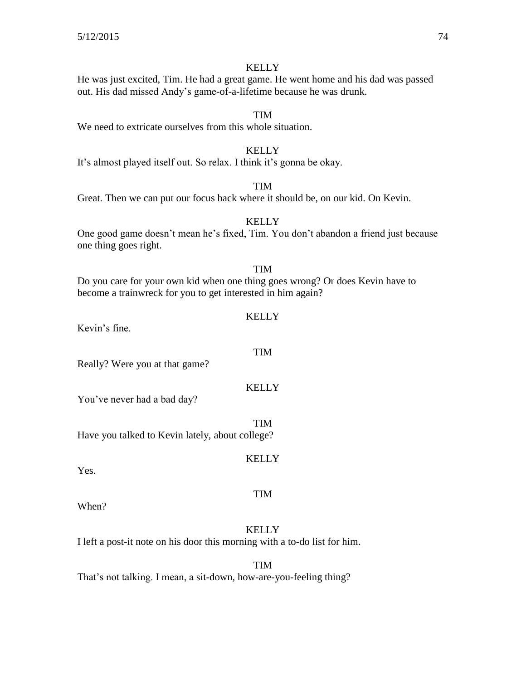He was just excited, Tim. He had a great game. He went home and his dad was passed out. His dad missed Andy's game-of-a-lifetime because he was drunk.

## TIM

We need to extricate ourselves from this whole situation.

#### **KELLY**

It's almost played itself out. So relax. I think it's gonna be okay.

## TIM

Great. Then we can put our focus back where it should be, on our kid. On Kevin.

## **KELLY**

One good game doesn't mean he's fixed, Tim. You don't abandon a friend just because one thing goes right.

## TIM

**KELLY** 

TIM

Do you care for your own kid when one thing goes wrong? Or does Kevin have to become a trainwreck for you to get interested in him again?

Kevin's fine.

Really? Were you at that game?

## **KELLY**

**KELLY** 

TIM

You've never had a bad day?

TIM Have you talked to Kevin lately, about college?

Yes.

When?

## **KELLY**

I left a post-it note on his door this morning with a to-do list for him.

TIM

That's not talking. I mean, a sit-down, how-are-you-feeling thing?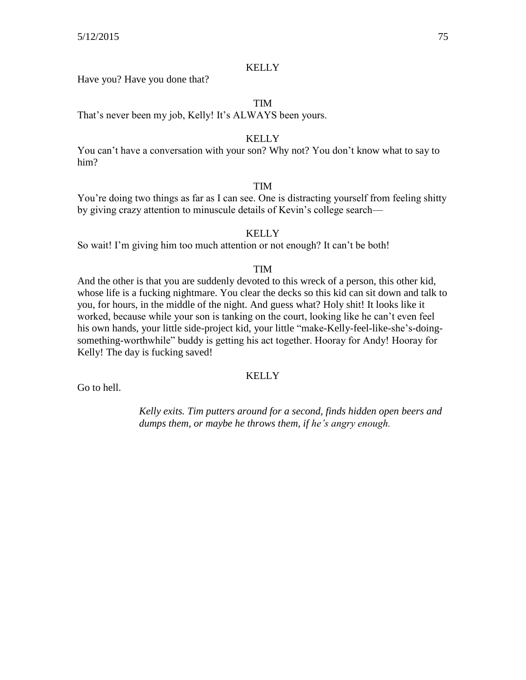Have you? Have you done that?

## TIM

That's never been my job, Kelly! It's ALWAYS been yours.

#### **KELLY**

You can't have a conversation with your son? Why not? You don't know what to say to him?

## TIM

You're doing two things as far as I can see. One is distracting yourself from feeling shitty by giving crazy attention to minuscule details of Kevin's college search—

#### KELLY

So wait! I'm giving him too much attention or not enough? It can't be both!

## TIM

And the other is that you are suddenly devoted to this wreck of a person, this other kid, whose life is a fucking nightmare. You clear the decks so this kid can sit down and talk to you, for hours, in the middle of the night. And guess what? Holy shit! It looks like it worked, because while your son is tanking on the court, looking like he can't even feel his own hands, your little side-project kid, your little "make-Kelly-feel-like-she's-doingsomething-worthwhile" buddy is getting his act together. Hooray for Andy! Hooray for Kelly! The day is fucking saved!

#### **KELLY**

Go to hell.

*Kelly exits. Tim putters around for a second, finds hidden open beers and dumps them, or maybe he throws them, if he's angry enough.*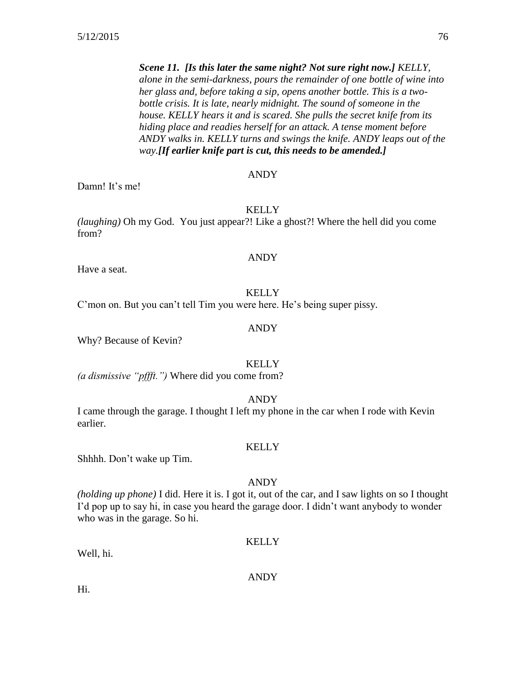*Scene 11. [Is this later the same night? Not sure right now.] KELLY, alone in the semi-darkness, pours the remainder of one bottle of wine into her glass and, before taking a sip, opens another bottle. This is a twobottle crisis. It is late, nearly midnight. The sound of someone in the house. KELLY hears it and is scared. She pulls the secret knife from its hiding place and readies herself for an attack. A tense moment before ANDY walks in. KELLY turns and swings the knife. ANDY leaps out of the way.[If earlier knife part is cut, this needs to be amended.]*

#### ANDY

Damn! It's me!

**KELLY** 

*(laughing)* Oh my God. You just appear?! Like a ghost?! Where the hell did you come from?

#### ANDY

Have a seat.

#### **KELLY**

C'mon on. But you can't tell Tim you were here. He's being super pissy.

#### ANDY

Why? Because of Kevin?

#### **KELLY**

*(a dismissive "pffft.")* Where did you come from?

#### ANDY

I came through the garage. I thought I left my phone in the car when I rode with Kevin earlier.

#### **KELLY**

Shhhh. Don't wake up Tim.

## ANDY

*(holding up phone)* I did. Here it is. I got it, out of the car, and I saw lights on so I thought I'd pop up to say hi, in case you heard the garage door. I didn't want anybody to wonder who was in the garage. So hi.

#### KELLY

Well, hi.

#### ANDY

Hi.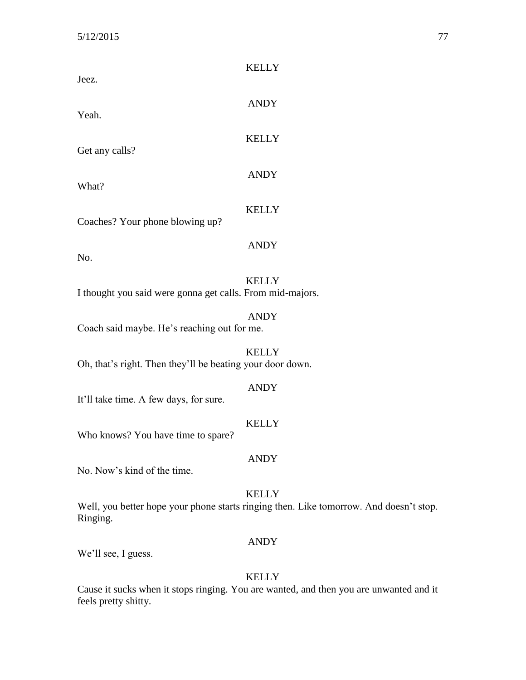| Jeez.                                                     | <b>KELLY</b>                                                                                           |
|-----------------------------------------------------------|--------------------------------------------------------------------------------------------------------|
| Yeah.                                                     | <b>ANDY</b>                                                                                            |
| Get any calls?                                            | <b>KELLY</b>                                                                                           |
| What?                                                     | <b>ANDY</b>                                                                                            |
| Coaches? Your phone blowing up?                           | <b>KELLY</b>                                                                                           |
| No.                                                       | <b>ANDY</b>                                                                                            |
| I thought you said were gonna get calls. From mid-majors. | <b>KELLY</b>                                                                                           |
| Coach said maybe. He's reaching out for me.               | <b>ANDY</b>                                                                                            |
| Oh, that's right. Then they'll be beating your door down. | <b>KELLY</b>                                                                                           |
| It'll take time. A few days, for sure.                    | <b>ANDY</b>                                                                                            |
| Who knows? You have time to spare?                        | <b>KELLY</b>                                                                                           |
| No. Now's kind of the time.                               | <b>ANDY</b>                                                                                            |
| Ringing.                                                  | <b>KELLY</b><br>Well, you better hope your phone starts ringing then. Like tomorrow. And doesn't stop. |
| We'll see, I guess.                                       | <b>ANDY</b>                                                                                            |

Cause it sucks when it stops ringing. You are wanted, and then you are unwanted and it feels pretty shitty.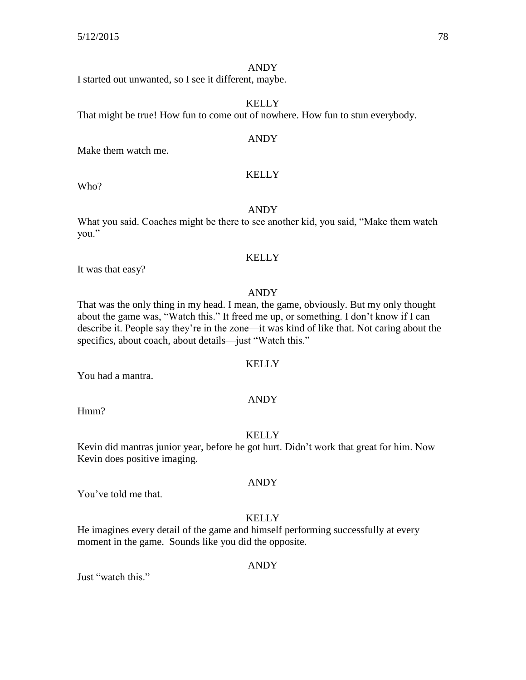#### ANDY

I started out unwanted, so I see it different, maybe.

## KELLY

That might be true! How fun to come out of nowhere. How fun to stun everybody.

#### ANDY

Make them watch me.

#### **KELLY**

Who?

## ANDY

What you said. Coaches might be there to see another kid, you said, "Make them watch you."

## **KELLY**

It was that easy?

## ANDY

That was the only thing in my head. I mean, the game, obviously. But my only thought about the game was, "Watch this." It freed me up, or something. I don't know if I can describe it. People say they're in the zone—it was kind of like that. Not caring about the specifics, about coach, about details—just "Watch this."

## KELLY

You had a mantra.

#### ANDY

Hmm?

#### **KELLY**

Kevin did mantras junior year, before he got hurt. Didn't work that great for him. Now Kevin does positive imaging.

## ANDY

You've told me that.

## KELLY

He imagines every detail of the game and himself performing successfully at every moment in the game. Sounds like you did the opposite.

#### ANDY

Just "watch this."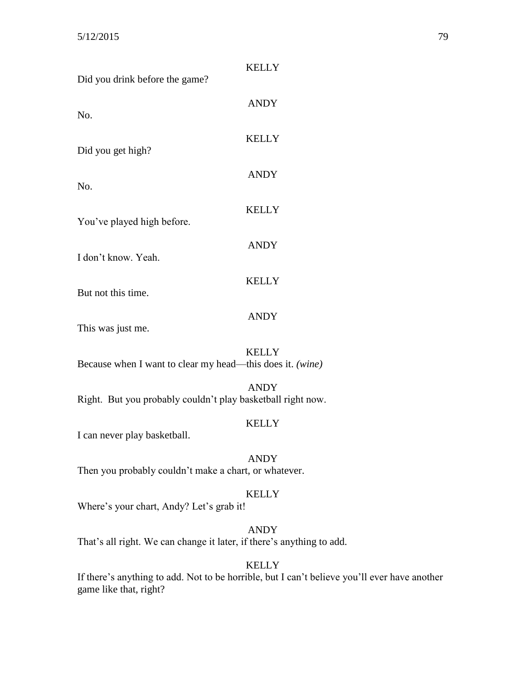| Did you drink before the game?                              | <b>KELLY</b> |
|-------------------------------------------------------------|--------------|
| No.                                                         | <b>ANDY</b>  |
| Did you get high?                                           | <b>KELLY</b> |
|                                                             | <b>ANDY</b>  |
| No.                                                         | <b>KELLY</b> |
| You've played high before.                                  | <b>ANDY</b>  |
| I don't know. Yeah.                                         |              |
| But not this time.                                          | <b>KELLY</b> |
| This was just me.                                           | <b>ANDY</b>  |
| Because when I want to clear my head—this does it. (wine)   | <b>KELLY</b> |
| Right. But you probably couldn't play basketball right now. | <b>ANDY</b>  |
| I can never play basketball.                                | <b>KELLY</b> |
| Then you probably couldn't make a chart, or whatever.       | <b>ANDY</b>  |
| Where's your chart, Andy? Let's grab it!                    | <b>KELLY</b> |
|                                                             | <b>ANDY</b>  |

That's all right. We can change it later, if there's anything to add.

## KELLY

If there's anything to add. Not to be horrible, but I can't believe you'll ever have another game like that, right?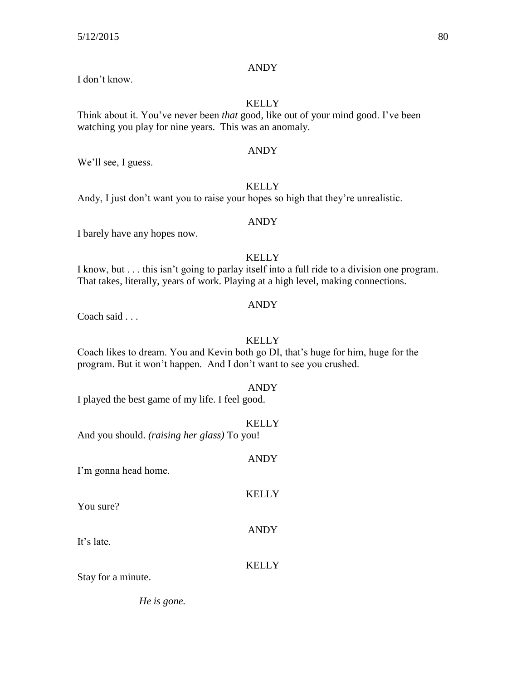## ANDY

I don't know.

## KELLY

Think about it. You've never been *that* good, like out of your mind good. I've been watching you play for nine years. This was an anomaly.

## ANDY

We'll see, I guess.

## **KELLY**

Andy, I just don't want you to raise your hopes so high that they're unrealistic.

## ANDY

I barely have any hopes now.

## **KELLY**

I know, but . . . this isn't going to parlay itself into a full ride to a division one program. That takes, literally, years of work. Playing at a high level, making connections.

## ANDY

Coach said . . .

## **KELLY**

Coach likes to dream. You and Kevin both go DI, that's huge for him, huge for the program. But it won't happen. And I don't want to see you crushed.

## ANDY

I played the best game of my life. I feel good.

## **KELLY**

ANDY

**KELLY** 

ANDY

And you should. *(raising her glass)* To you!

I'm gonna head home.

You sure?

It's late.

## **KELLY**

Stay for a minute.

*He is gone.*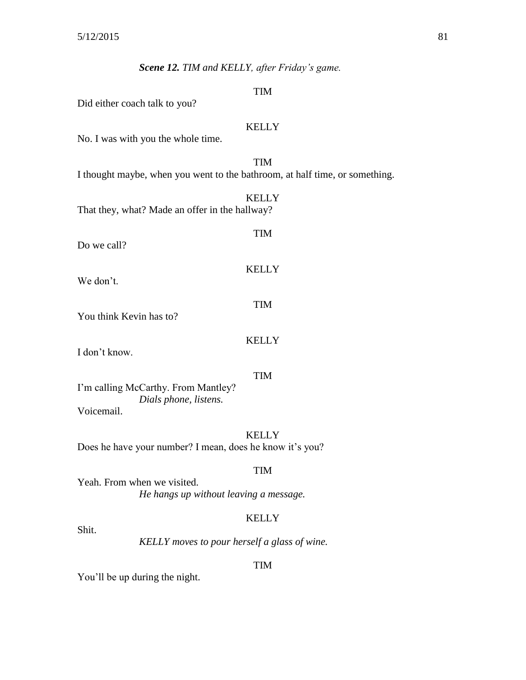## *Scene 12. TIM and KELLY, after Friday's game.*

#### TIM

Did either coach talk to you?

#### **KELLY**

TIM

KELLY

TIM

No. I was with you the whole time.

## TIM I thought maybe, when you went to the bathroom, at half time, or something.

|                                                |  | <b>KELLY</b> |
|------------------------------------------------|--|--------------|
| That they, what? Made an offer in the hallway? |  |              |

Do we call?

We don't.

You think Kevin has to?

## KELLY

I don't know.

#### TIM

I'm calling McCarthy. From Mantley? *Dials phone, listens.* Voicemail.

#### **KELLY**

Does he have your number? I mean, does he know it's you?

#### TIM

Yeah. From when we visited. *He hangs up without leaving a message.*

#### KELLY

Shit.

*KELLY moves to pour herself a glass of wine.*

#### TIM

You'll be up during the night.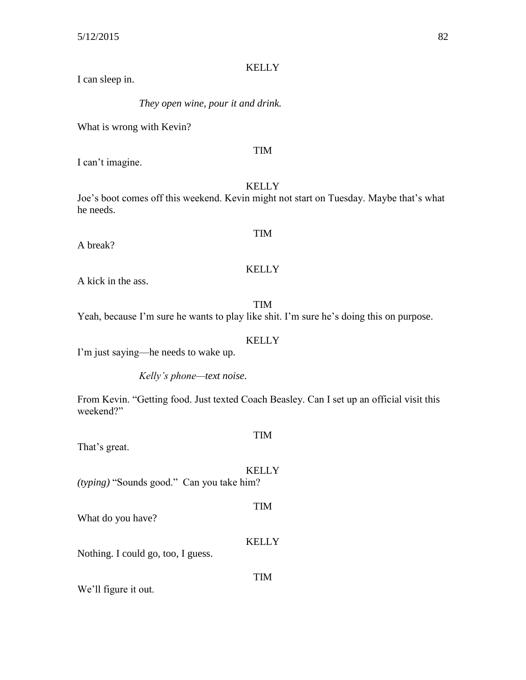I can sleep in.

*They open wine, pour it and drink.*

What is wrong with Kevin?

#### TIM

I can't imagine.

## KELLY

Joe's boot comes off this weekend. Kevin might not start on Tuesday. Maybe that's what he needs.

A break?

# TIM

## KELLY

A kick in the ass.

## TIM

Yeah, because I'm sure he wants to play like shit. I'm sure he's doing this on purpose.

## KELLY

I'm just saying—he needs to wake up.

*Kelly's phone—text noise.*

From Kevin. "Getting food. Just texted Coach Beasley. Can I set up an official visit this weekend?"

## That's great.

## KELLY

TIM

TIM

TIM

*(typing)* "Sounds good." Can you take him?

What do you have?

## KELLY

Nothing. I could go, too, I guess.

We'll figure it out.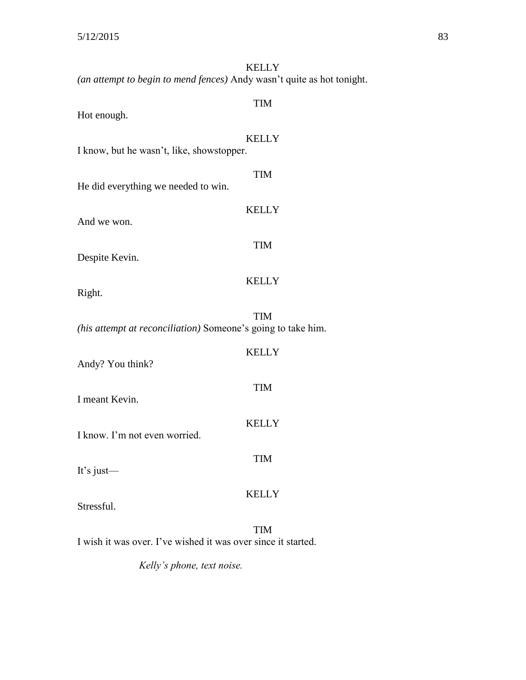| <b>KELLY</b><br>(an attempt to begin to mend fences) Andy wasn't quite as hot tonight. |
|----------------------------------------------------------------------------------------|
| <b>TIM</b><br>Hot enough.                                                              |
| <b>KELLY</b><br>I know, but he wasn't, like, showstopper.                              |
| <b>TIM</b><br>He did everything we needed to win.                                      |
| <b>KELLY</b><br>And we won.                                                            |
| <b>TIM</b><br>Despite Kevin.                                                           |
| <b>KELLY</b><br>Right.                                                                 |
| <b>TIM</b>                                                                             |
| (his attempt at reconciliation) Someone's going to take him.<br><b>KELLY</b>           |
| Andy? You think?                                                                       |
| <b>TIM</b><br>I meant Kevin.                                                           |
| <b>KELLY</b><br>I know. I'm not even worried.                                          |
| <b>TIM</b><br>It's just-                                                               |
| <b>KELLY</b><br>Stressful.                                                             |
| <b>TIM</b><br>I wish it was over. I've wished it was over since it started.            |

*Kelly's phone, text noise.*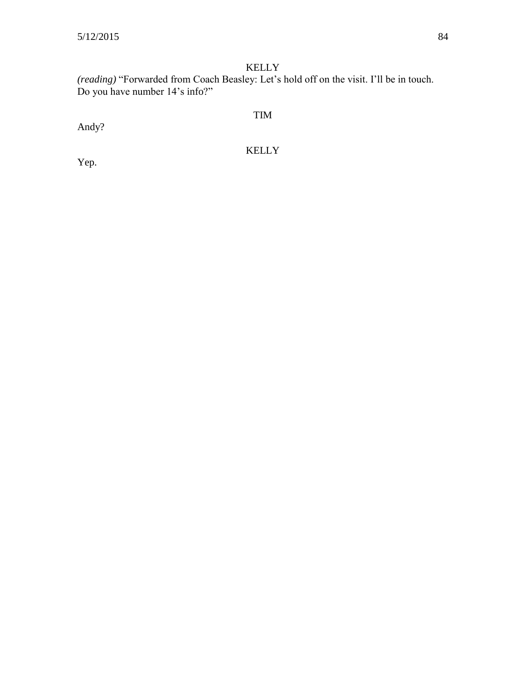*(reading)* "Forwarded from Coach Beasley: Let's hold off on the visit. I'll be in touch. Do you have number 14's info?"

TIM

Andy?

KELLY

Yep.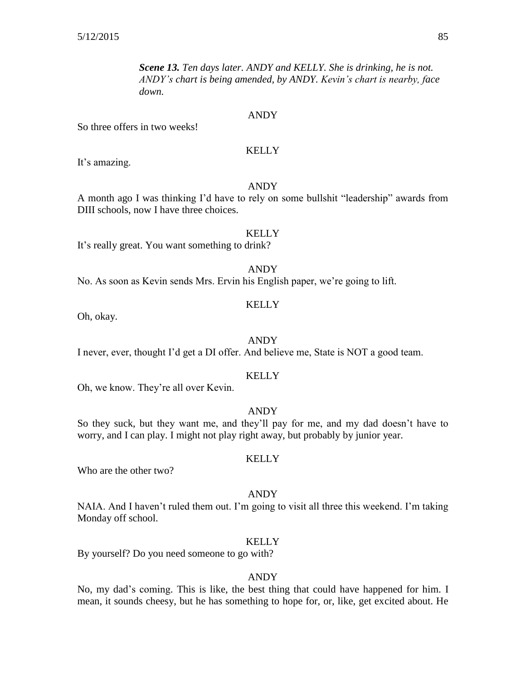*Scene 13. Ten days later. ANDY and KELLY. She is drinking, he is not. ANDY's chart is being amended, by ANDY. Kevin's chart is nearby, face down.*

#### ANDY

So three offers in two weeks!

#### KELLY

It's amazing.

## ANDY

A month ago I was thinking I'd have to rely on some bullshit "leadership" awards from DIII schools, now I have three choices.

#### **KELLY**

It's really great. You want something to drink?

#### ANDY

No. As soon as Kevin sends Mrs. Ervin his English paper, we're going to lift.

#### **KELLY**

Oh, okay.

#### ANDY

I never, ever, thought I'd get a DI offer. And believe me, State is NOT a good team.

#### **KELLY**

Oh, we know. They're all over Kevin.

## ANDY

So they suck, but they want me, and they'll pay for me, and my dad doesn't have to worry, and I can play. I might not play right away, but probably by junior year.

#### KELLY

Who are the other two?

#### ANDY

NAIA. And I haven't ruled them out. I'm going to visit all three this weekend. I'm taking Monday off school.

#### KELLY

By yourself? Do you need someone to go with?

#### ANDY

No, my dad's coming. This is like, the best thing that could have happened for him. I mean, it sounds cheesy, but he has something to hope for, or, like, get excited about. He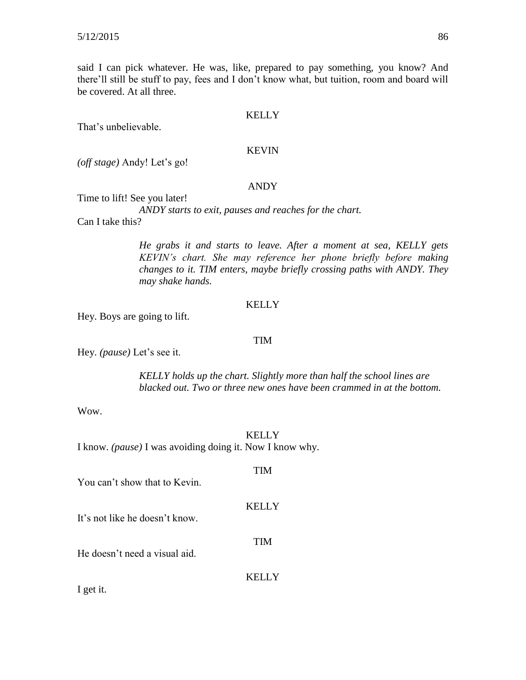said I can pick whatever. He was, like, prepared to pay something, you know? And there'll still be stuff to pay, fees and I don't know what, but tuition, room and board will be covered. At all three.

#### **KELLY**

That's unbelievable.

#### KEVIN

*(off stage)* Andy! Let's go!

#### ANDY

Time to lift! See you later!

*ANDY starts to exit, pauses and reaches for the chart.* Can I take this?

> *He grabs it and starts to leave. After a moment at sea, KELLY gets KEVIN's chart. She may reference her phone briefly before making changes to it. TIM enters, maybe briefly crossing paths with ANDY. They may shake hands.*

#### **KELLY**

Hey. Boys are going to lift.

#### TIM

Hey. *(pause)* Let's see it.

*KELLY holds up the chart. Slightly more than half the school lines are blacked out. Two or three new ones have been crammed in at the bottom.*

Wow.

**KELLY** 

TIM

**KELLY** 

TIM

I know. *(pause)* I was avoiding doing it. Now I know why.

You can't show that to Kevin.

It's not like he doesn't know.

He doesn't need a visual aid.

**KELLY** 

I get it.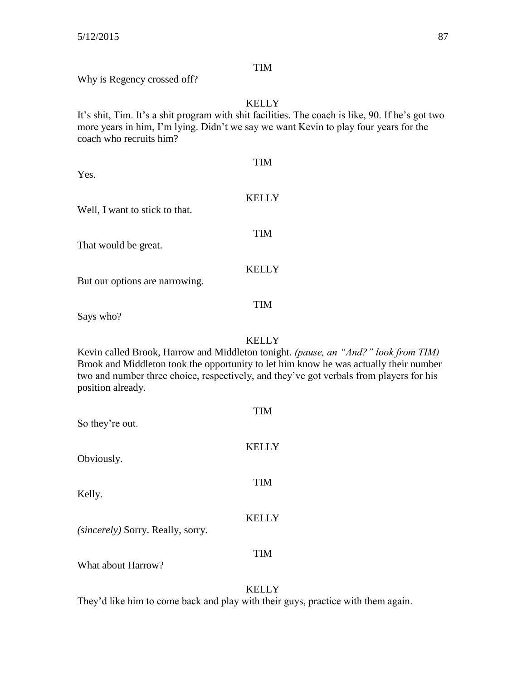## TIM

Why is Regency crossed off?

## KELLY

It's shit, Tim. It's a shit program with shit facilities. The coach is like, 90. If he's got two more years in him, I'm lying. Didn't we say we want Kevin to play four years for the coach who recruits him?

| Yes.                           | TIM          |
|--------------------------------|--------------|
| Well, I want to stick to that. | <b>KELLY</b> |
| That would be great.           | <b>TIM</b>   |
| But our options are narrowing. | <b>KELLY</b> |
| Says who?                      | <b>TIM</b>   |

KELLY

Kevin called Brook, Harrow and Middleton tonight. *(pause, an "And?" look from TIM)* Brook and Middleton took the opportunity to let him know he was actually their number two and number three choice, respectively, and they've got verbals from players for his position already.

| So they're out.                          | TIM          |
|------------------------------------------|--------------|
| Obviously.                               | <b>KELLY</b> |
| Kelly.                                   | <b>TIM</b>   |
| <i>(sincerely)</i> Sorry. Really, sorry. | <b>KELLY</b> |
| What about Harrow?                       | <b>TIM</b>   |
|                                          |              |

## KELLY

They'd like him to come back and play with their guys, practice with them again.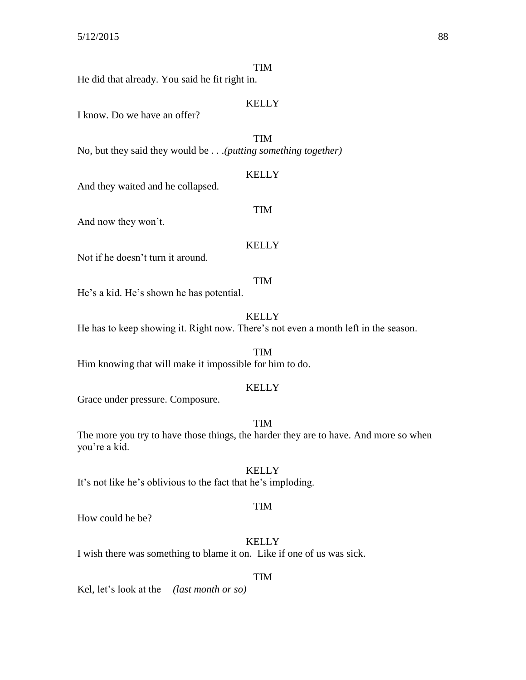## TIM

He did that already. You said he fit right in.

## KELLY

I know. Do we have an offer?

TIM

No, but they said they would be . . .*(putting something together)*

#### KELLY

TIM

And they waited and he collapsed.

And now they won't.

#### **KELLY**

Not if he doesn't turn it around.

#### TIM

He's a kid. He's shown he has potential.

KELLY

He has to keep showing it. Right now. There's not even a month left in the season.

TIM Him knowing that will make it impossible for him to do.

#### **KELLY**

Grace under pressure. Composure.

#### TIM

The more you try to have those things, the harder they are to have. And more so when you're a kid.

## **KELLY**

It's not like he's oblivious to the fact that he's imploding.

#### TIM

How could he be?

## KELLY

I wish there was something to blame it on. Like if one of us was sick.

#### TIM

Kel, let's look at the*— (last month or so)*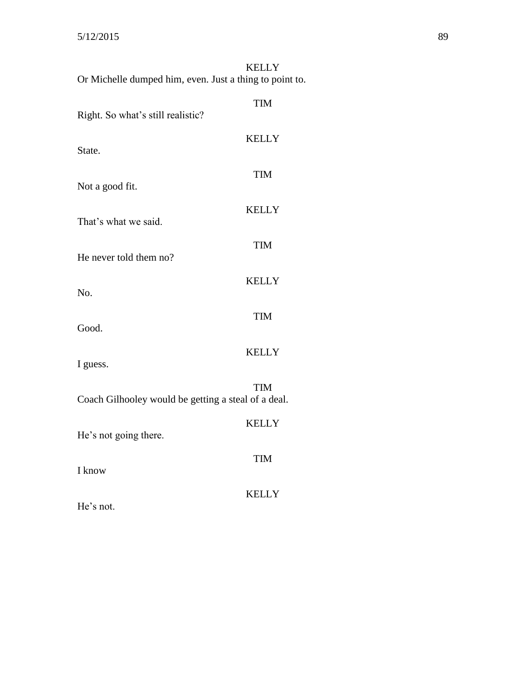| Or Michelle dumped him, even. Just a thing to point to. | <b>KELLY</b> |
|---------------------------------------------------------|--------------|
| Right. So what's still realistic?                       | <b>TIM</b>   |
| State.                                                  | <b>KELLY</b> |
| Not a good fit.                                         | <b>TIM</b>   |
| That's what we said.                                    | <b>KELLY</b> |
|                                                         | <b>TIM</b>   |
| He never told them no?                                  | <b>KELLY</b> |
| No.                                                     | <b>TIM</b>   |
| Good.                                                   | <b>KELLY</b> |
| I guess.                                                |              |
| Coach Gilhooley would be getting a steal of a deal.     | <b>TIM</b>   |
| He's not going there.                                   | <b>KELLY</b> |
| I know                                                  | <b>TIM</b>   |
| He's not.                                               | KELLY        |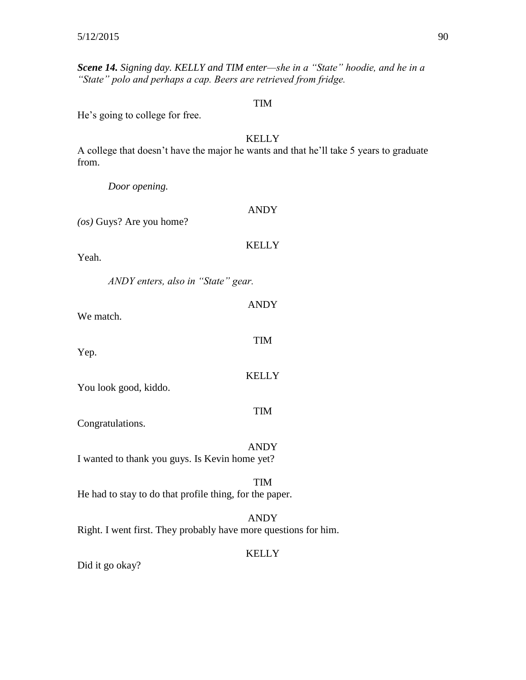*Scene 14. Signing day. KELLY and TIM enter—she in a "State" hoodie, and he in a "State" polo and perhaps a cap. Beers are retrieved from fridge.*

## TIM

He's going to college for free.

## KELLY

A college that doesn't have the major he wants and that he'll take 5 years to graduate from.

*Door opening.*

| $(\cos)$ Guys? Are you home?                            | <b>ANDY</b>                                                                    |
|---------------------------------------------------------|--------------------------------------------------------------------------------|
| Yeah.                                                   | <b>KELLY</b>                                                                   |
| ANDY enters, also in "State" gear.                      |                                                                                |
| We match.                                               | <b>ANDY</b>                                                                    |
| Yep.                                                    | <b>TIM</b>                                                                     |
| You look good, kiddo.                                   | <b>KELLY</b>                                                                   |
| Congratulations.                                        | <b>TIM</b>                                                                     |
| I wanted to thank you guys. Is Kevin home yet?          | <b>ANDY</b>                                                                    |
| He had to stay to do that profile thing, for the paper. | <b>TIM</b>                                                                     |
|                                                         | <b>ANDY</b><br>Right. I went first. They probably have more questions for him. |
|                                                         | <b>KELLY</b>                                                                   |

Did it go okay?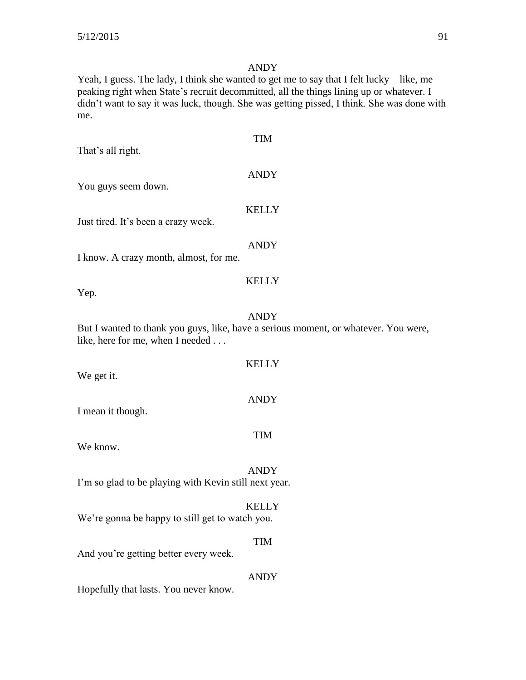## ANDY

Yeah, I guess. The lady, I think she wanted to get me to say that I felt lucky—like, me peaking right when State's recruit decommitted, all the things lining up or whatever. I didn't want to say it was luck, though. She was getting pissed, I think. She was done with me.

| That's all right.                                     | <b>TIM</b>                                                                                         |
|-------------------------------------------------------|----------------------------------------------------------------------------------------------------|
| You guys seem down.                                   | <b>ANDY</b>                                                                                        |
| Just tired. It's been a crazy week.                   | <b>KELLY</b>                                                                                       |
| I know. A crazy month, almost, for me.                | <b>ANDY</b>                                                                                        |
| Yep.                                                  | <b>KELLY</b>                                                                                       |
| like, here for me, when I needed                      | <b>ANDY</b><br>But I wanted to thank you guys, like, have a serious moment, or whatever. You were, |
| We get it.                                            | <b>KELLY</b>                                                                                       |
| I mean it though.                                     | <b>ANDY</b>                                                                                        |
| We know.                                              | <b>TIM</b>                                                                                         |
| I'm so glad to be playing with Kevin still next year. | <b>ANDY</b>                                                                                        |
| We're gonna be happy to still get to watch you.       | <b>KELLY</b>                                                                                       |
| And you're getting better every week.                 | <b>TIM</b>                                                                                         |
| Hopefully that lasts. You never know.                 | <b>ANDY</b>                                                                                        |